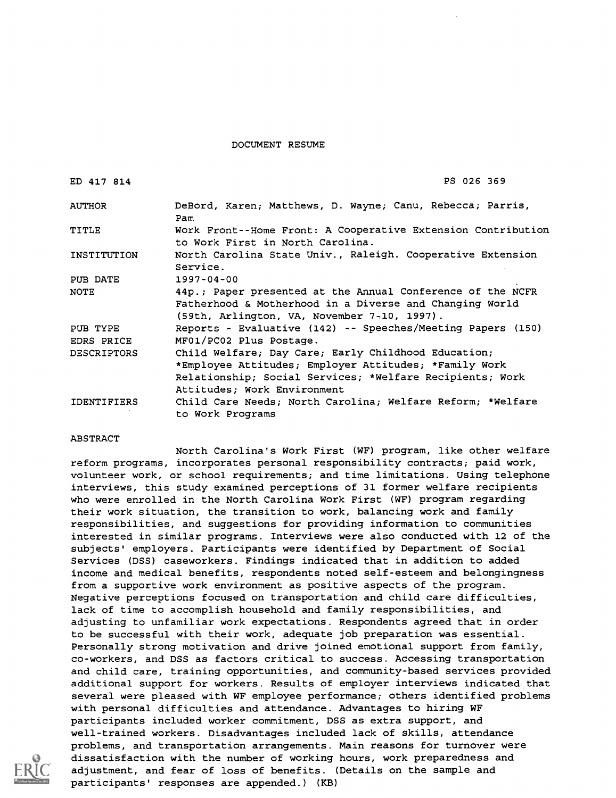DOCUMENT RESUME

| ED 417 814         | PS 026 369                                                                                                                                                                                              |  |  |  |
|--------------------|---------------------------------------------------------------------------------------------------------------------------------------------------------------------------------------------------------|--|--|--|
| <b>AUTHOR</b>      | DeBord, Karen; Matthews, D. Wayne; Canu, Rebecca; Parris,<br>Pam                                                                                                                                        |  |  |  |
| <b>TITLE</b>       | Work Front--Home Front: A Cooperative Extension Contribution<br>to Work First in North Carolina.                                                                                                        |  |  |  |
| INSTITUTION        | North Carolina State Univ., Raleigh. Cooperative Extension<br>Service.                                                                                                                                  |  |  |  |
| PUB DATE           | $1997 - 04 - 00$                                                                                                                                                                                        |  |  |  |
| NOTE               | 44p.; Paper presented at the Annual Conference of the NCFR<br>Fatherhood & Motherhood in a Diverse and Changing World<br>$(59th, Arlington, VA, November 7-10, 1997).$                                  |  |  |  |
| PUB TYPE           | Reports - Evaluative (142) -- Speeches/Meeting Papers (150)                                                                                                                                             |  |  |  |
| EDRS PRICE         | MF01/PC02 Plus Postage.                                                                                                                                                                                 |  |  |  |
| <b>DESCRIPTORS</b> | Child Welfare; Day Care; Early Childhood Education;<br>*Employee Attitudes; Employer Attitudes; *Family Work<br>Relationship; Social Services; *Welfare Recipients; Work<br>Attitudes: Work Environment |  |  |  |
| IDENTIFIERS        | Child Care Needs; North Carolina; Welfare Reform; *Welfare<br>to Work Programs                                                                                                                          |  |  |  |

#### ABSTRACT

North Carolina's Work First (WF) program, like other welfare reform programs, incorporates personal responsibility contracts; paid work, volunteer work, or school requirements; and time limitations. Using telephone interviews, this study examined perceptions of 31 former welfare recipients who were enrolled in the North Carolina Work First (WF) program regarding their work situation, the transition to work, balancing work and family responsibilities, and suggestions for providing information to communities interested in similar programs. Interviews were also conducted with 12 of the subjects' employers. Participants were identified by Department of Social Services (DSS) caseworkers. Findings indicated that in addition to added income and medical benefits, respondents noted self-esteem and belongingness from a supportive work environment as positive aspects of the program. Negative perceptions focused on transportation and child care difficulties, lack of time to accomplish household and family responsibilities, and adjusting to unfamiliar work expectations. Respondents agreed that in order to be successful with their work, adequate job preparation was essential. Personally strong motivation and drive joined emotional support from family, co-workers, and DSS as factors critical to success. Accessing transportation and child care, training opportunities, and community-based services provided additional support for workers. Results of employer interviews indicated that several were pleased with WF employee performance; others identified problems with personal difficulties and attendance. Advantages to hiring WF participants included worker commitment, DSS as extra support, and well-trained workers. Disadvantages included lack of skills, attendance problems, and transportation arrangements. Main reasons for turnover were dissatisfaction with the number of working hours, work preparedness and adjustment, and fear of loss of benefits. (Details on the sample and participants' responses are appended.) (KB)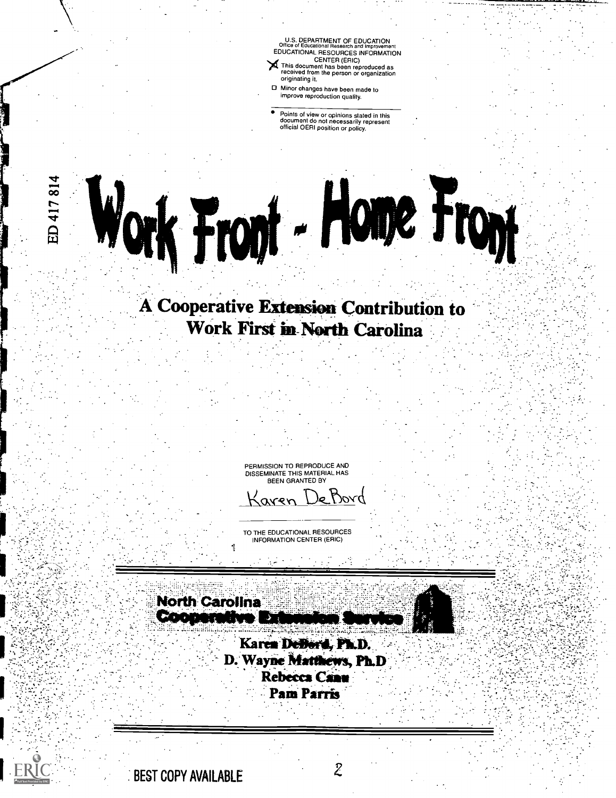U.S. DEPARTMENT OF EDUCATION Office of Educational Research and Improvement EDUCATIONAL RESOURCES INFORMATION CENTER (ERIC)<br>This document has been reproduced as<br>received from the person or organization originating it.

Minor changes have been made to improve reproduction quality.

Points of view or opinions stated in this document do not necessarily represent official OERI position or policy.

# A Cooperative Extension Contribution to Work First in-North Carolina

Work Front - Home Front

PERMISSION TO REPRODUCE AND DISSEMINATE THIS MATERIAL HAS BEEN GRANTED BY

)& Bord aren

TO THE EDUCATIONAL RESOURCES INFORMATION CENTER (ERIC)

**North Carolina** Cooper

> Karen DeDord, Ph.D. D. Wayne Matthews, Ph.D **Rebecca Canu** Pam Parris

BEST COPY AVAILABLE  $\mathcal Z$ 

417814

 $\dot{\Xi}$ 

ERIC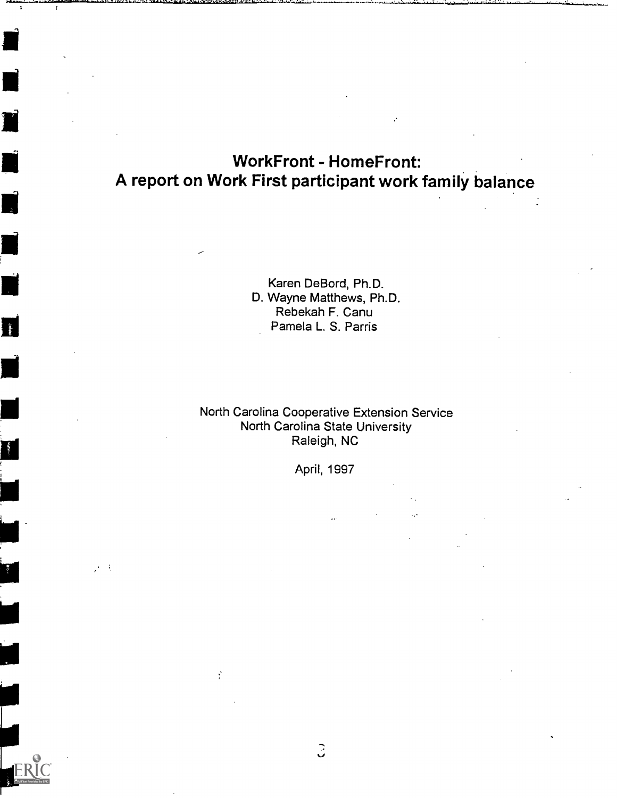# WorkFront - HomeFront: A report on Work First participant work family balance

 $\mathbf{r}$ 

 $\mathbf{L}$ 

 $\mathcal{F}^{\mathcal{G}}$  .

Karen DeBord, Ph.D. D. Wayne Matthews, Ph.D. Rebekah F. Canu Pamela L. S. Parris

## North Carolina Cooperative Extension Service North Carolina State University Raleigh, NC

April, 1997

 $\hat{z}$ 

Ý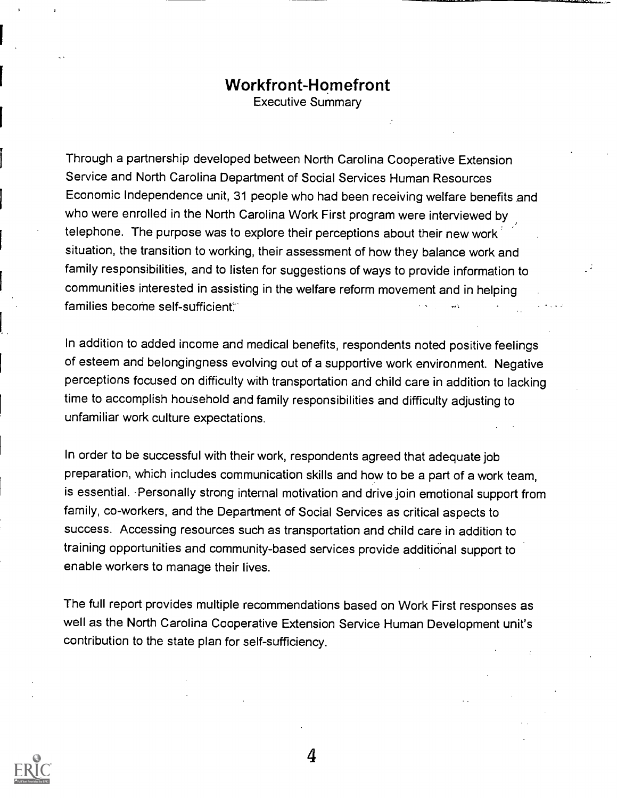# Workfront-Homefront

Executive Summary

Through a partnership developed between North Carolina Cooperative Extension Service and North Carolina Department of Social Services Human Resources Economic Independence unit, 31 people who had been receiving welfare benefits and who were enrolled in the North Carolina Work First program were interviewed by telephone. The purpose was to explore their perceptions about their new work situation, the transition to working, their assessment of how they balance work and family responsibilities, and to listen for suggestions of ways to provide information to communities interested in assisting in the welfare reform movement and in helping families become self-sufficient:

In addition to added income and medical benefits, respondents noted positive feelings of esteem and belongingness evolving out of a supportive work environment. Negative perceptions focused on difficulty with transportation and child care in addition to lacking time to accomplish household and family responsibilities and difficulty adjusting to unfamiliar work culture expectations.

In order to be successful with their work, respondents agreed that adequate job preparation, which includes communication skills and how to be a part of a work team, is essential. Personally strong internal motivation and drive join emotional support from family, co-workers, and the Department of Social Services as critical aspects to success. Accessing resources such as transportation and child care in addition to training opportunities and community-based services provide additional support to enable workers to manage their lives.

The full report provides multiple recommendations based on Work First responses as well as the North Carolina Cooperative Extension Service Human Development unit's contribution to the state plan for self-sufficiency.

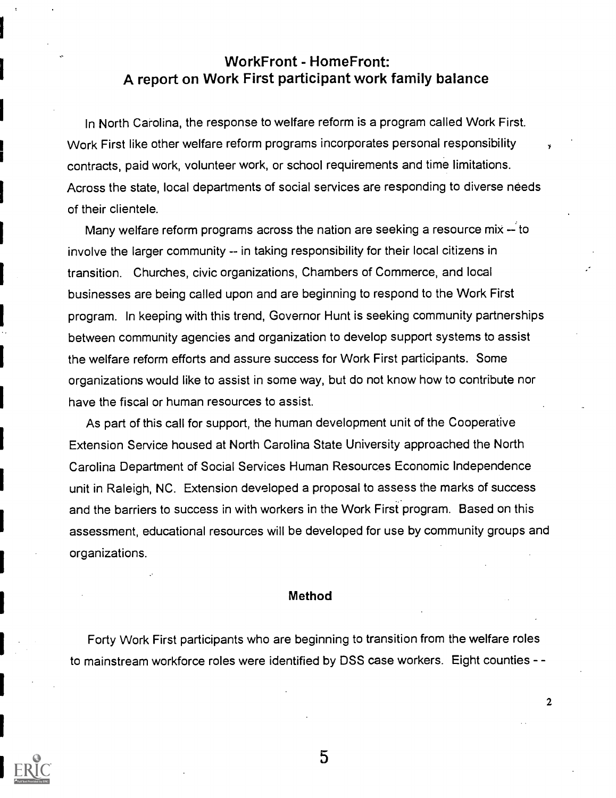## WorkFront - HomeFront: A report on Work First participant work family balance

In North Carolina, the response to welfare reform is a program called Work First. Work First like other welfare reform programs incorporates personal responsibility contracts, paid work, volunteer work, or school requirements and time limitations. Across the state, local departments of social services are responding to diverse needs of their clientele.

Many welfare reform programs across the nation are seeking a resource mix  $-$  to involve the larger community -- in taking responsibility for their local citizens in transition. Churches, civic organizations, Chambers of Commerce, and local businesses are being called upon and are beginning to respond to the Work First program. In keeping with this trend, Governor Hunt is seeking community partnerships between community agencies and organization to develop support systems to assist the welfare reform efforts and assure success for Work First participants. Some organizations would like to assist in some way, but do not know how to contribute nor have the fiscal or human resources to assist.

As part of this call for support, the human development unit of the Cooperative Extension Service housed at North Carolina State University approached the North Carolina Department of Social Services Human Resources Economic Independence unit in Raleigh, NC. Extension developed a proposal to assess the marks of success and the barriers to success in with workers in the Work First program. Based on this assessment, educational resources will be developed for use by community groups and organizations.

#### Method

Forty Work First participants who are beginning to transition from the welfare roles to mainstream workforce roles were identified by DSS case workers. Eight counties - -



5

 $\overline{2}$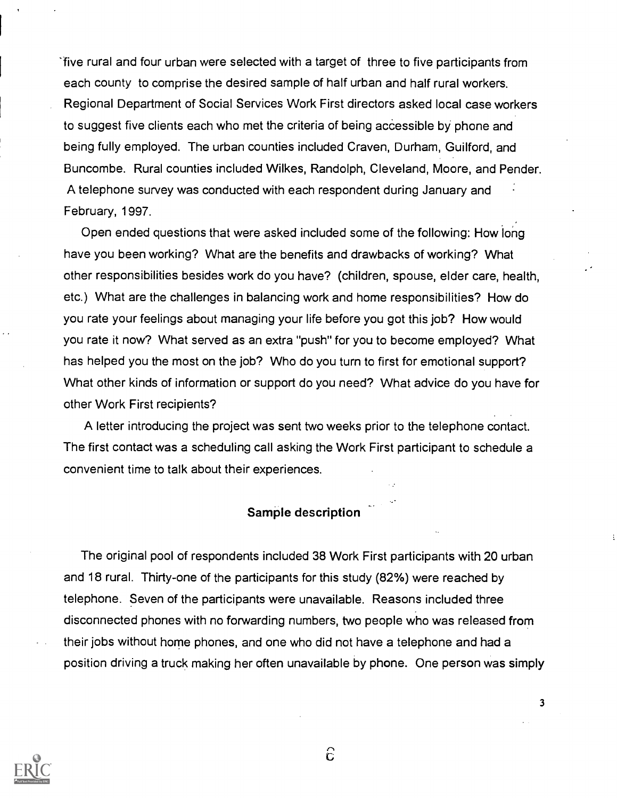ifive rural and four urban were selected with a target of three to five participants from each county to comprise the desired sample of half urban and half rural workers. Regional Department of Social Services Work First directors asked local case workers to suggest five clients each who met the criteria of being accessible by phone and being fully employed. The urban counties included Craven, Durham, Guilford, and Buncombe. Rural counties included Wilkes, Randolph, Cleveland, Moore, and Pender. A telephone survey was conducted with each respondent during January and February, 1997.

Open ended questions that were asked included some of the following: How long have you been working? What are the benefits and drawbacks of working? What other responsibilities besides work do you have? (children, spouse, elder care, health, etc.) What are the challenges in balancing work and home responsibilities? How do you rate your feelings about managing your life before you got this job? How would you rate it now? What served as an extra "push" for you to become employed? What has helped you the most on the job? Who do you turn to first for emotional support? What other kinds of information or support do you need? What advice do you have for other Work First recipients?

A letter introducing the project was sent two weeks prior to the telephone contact. The first contact was a scheduling call asking the Work First participant to schedule a convenient time to talk about their experiences.

## Sample description

The original pool of respondents included 38 Work First participants with 20 urban and 18 rural. Thirty-one of the participants for this study (82%) were reached by telephone. Seven of the participants were unavailable. Reasons included three disconnected phones with no forwarding numbers, two people who was released from their jobs without home phones, and one who did not have a telephone and had a position driving a truck making her often unavailable by phone. One person was simply



 $\widehat{c}$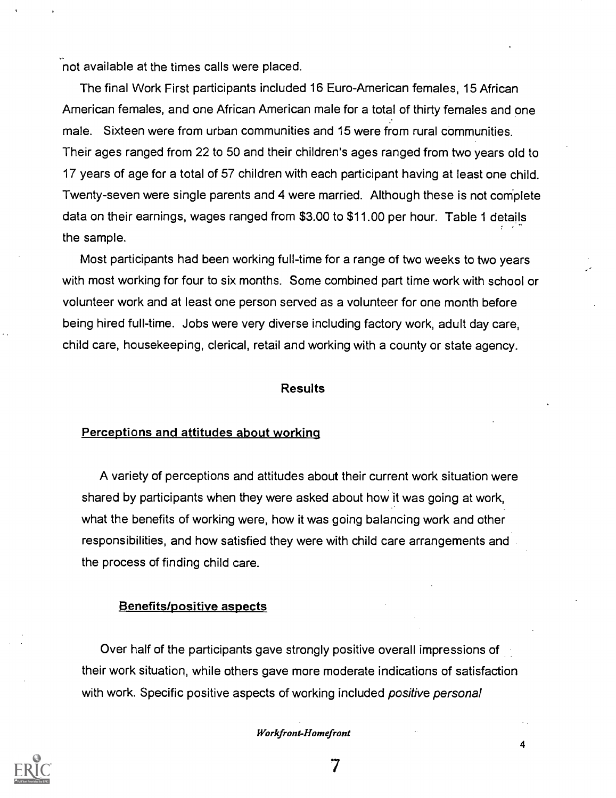not available at the times calls were placed.

The final Work First participants included 16 Euro-American females, 15 African American females, and one African American male for a total of thirty females and one male. Sixteen were from urban communities and 15 were from rural communities. Their ages ranged from 22 to 50 and their children's ages ranged from two years old to 17 years of age for a total of 57 children with each participant having at least one child. Twenty-seven were single parents and 4 were married. Although these is not complete data on their earnings, wages ranged from \$3.00 to \$11.00 per hour. Table 1 details the sample.

Most participants had been working full-time for a range of two weeks to two years with most working for four to six months. Some combined part time work with school or volunteer work and at least one person served as a volunteer for one month before being hired full-time. Jobs were very diverse including factory work, adult day care, child care, housekeeping, clerical, retail and working with a county or state agency.

#### Results

## Perceptions and attitudes about working

A variety of perceptions and attitudes about their current work situation were shared by participants when they were asked about how it was going at work, what the benefits of working were, how it was going balancing work and other responsibilities, and how satisfied they were with child care arrangements and the process of finding child care.

#### Benefits/positive aspects

Over half of the participants gave strongly positive overall impressions of their work situation, while others gave more moderate indications of satisfaction with work. Specific positive aspects of working included positive personal

Workfront-Homefront

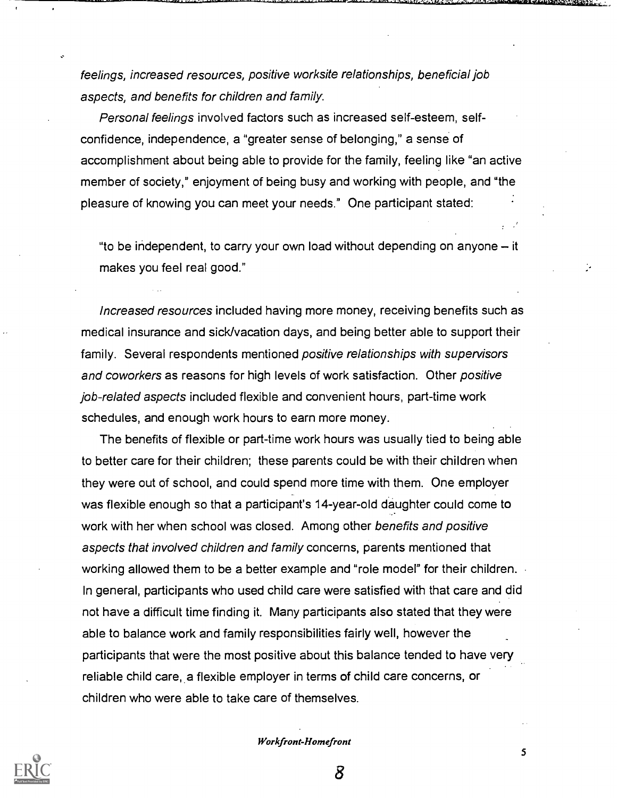feelings, increased resources, positive worksite relationships, beneficial job aspects, and benefits for children and family.

Personal feelings involved factors such as increased self-esteem, selfconfidence, independence, a "greater sense of belonging," a sense of accomplishment about being able to provide for the family, feeling like "an active member of society," enjoyment of being busy and working with people, and "the pleasure of knowing you can meet your needs." One participant stated:

"to be independent, to carry your own load without depending on anyone  $-$  it makes you feel real good."

Increased resources included having more money, receiving benefits such as medical insurance and sick/vacation days, and being better able to support their family. Several respondents mentioned positive relationships with supervisors and coworkers as reasons for high levels of work satisfaction. Other positive job-related aspects included flexible and convenient hours, part-time work schedules, and enough work hours to earn more money.

The benefits of flexible or part-time work hours was usually tied to being able to better care for their children; these parents could be with their children when they were out of school, and could spend more time with them. One employer was flexible enough so that a participant's 14-year-old daughter could come to work with her when school was closed. Among other benefits and positive aspects that involved children and family concerns, parents mentioned that working allowed them to be a better example and "role model" for their children. In general, participants who used child care were satisfied with that care and did not have a difficult time finding it. Many participants also stated that they were able to balance work and family responsibilities fairly well, however the participants that were the most positive about this balance tended to have very reliable child care, a flexible employer in terms of child care concerns, or children who were able to take care of themselves.

Workfront-Homefront

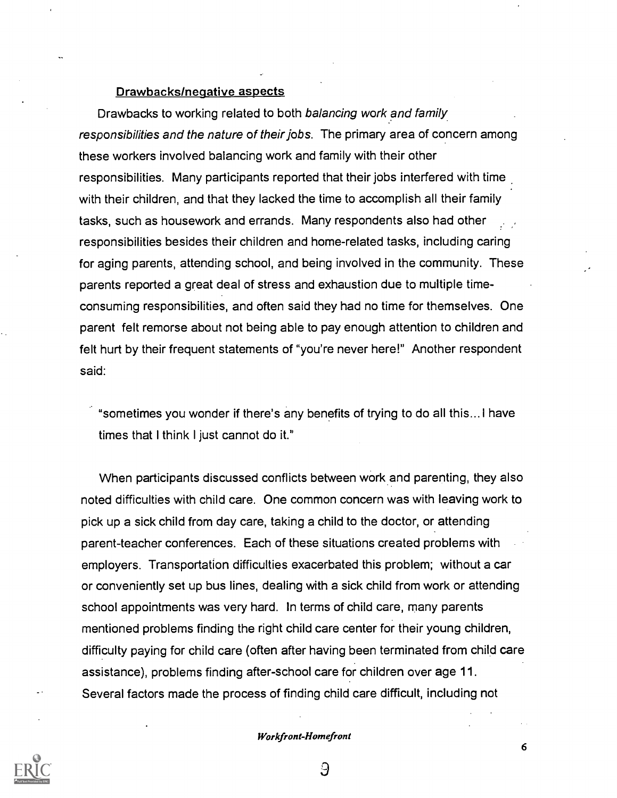#### Drawbacks/negative aspects

Drawbacks to working related to both balancing work and family responsibilities and the nature of their jobs. The primary area of concern among these workers involved balancing work and family with their other responsibilities. Many participants reported that their jobs interfered with time with their children, and that they lacked the time to accomplish all their family tasks, such as housework and errands. Many respondents also had other responsibilities besides their children and home-related tasks, including caring for aging parents, attending school, and being involved in the community. These parents reported a great deal of stress and exhaustion due to multiple time consuming responsibilities, and often said they had no time for themselves. One parent felt remorse about not being able to pay enough attention to children and felt hurt by their frequent statements of "you're never here!" Another respondent said:

"sometimes you wonder if there's any benefits of trying to do all this... I have times that I think I just cannot do it."

When participants discussed conflicts between work and parenting, they also noted difficulties with child care. One common concern was with leaving work to pick up a sick child from day care, taking a child to the doctor, or attending parent-teacher conferences. Each of these situations created problems with employers. Transportation difficulties exacerbated this problem; without a car or conveniently set up bus lines, dealing with a sick child from work or attending school appointments was very hard. In terms of child care, many parents mentioned problems finding the right child care center for their young children, difficulty paying for child care (often after having been terminated from child care assistance), problems finding after-school care for children over age 11. Several factors made the process of finding child care difficult, including not



3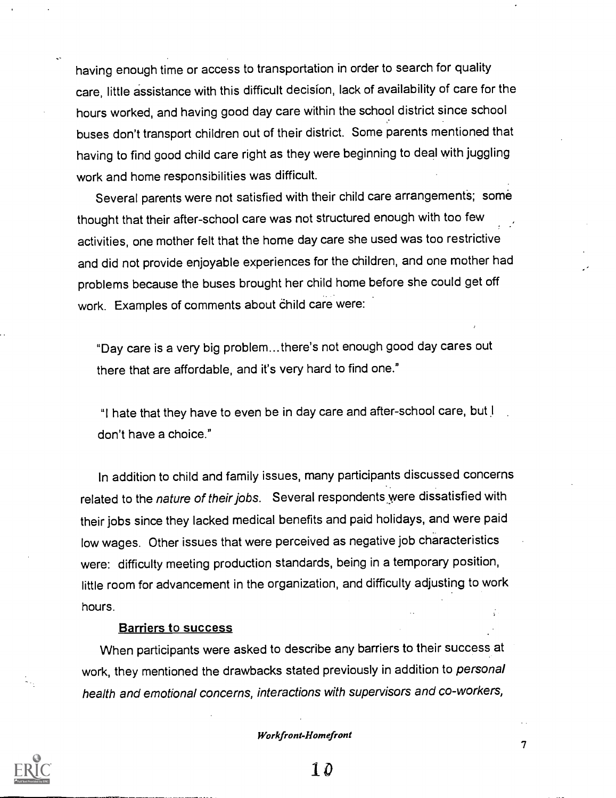having enough time or access to transportation in order to search for quality care, little assistance with this difficult decision, lack of availability of care for the hours worked, and having good day care within the school district since school buses don't transport children out of their district. Some parents mentioned that having to find good child care right as they were beginning to deal with juggling work and home responsibilities was difficult.

Several parents were not satisfied with their child care arrangements; some thought that their after-school care was not structured enough with too few activities, one mother felt that the home day care she used was too restrictive and did not provide enjoyable experiences for the children, and one mother had problems because the buses brought her child home before she could get off work. Examples of comments about child care were:

"Day care is a very big problem...there's not enough good day cares out there that are affordable, and it's very hard to find one."

"I hate that they have to even be in day care and after-school care, but I don't have a choice."

In addition to child and family issues, many participants discussed concerns related to the nature of their jobs. Several respondents were dissatisfied with their jobs since they lacked medical benefits and paid holidays, and were paid low wages. Other issues that were perceived as negative job characteristics were: difficulty meeting production standards, being in a temporary position, little room for advancement in the organization, and difficulty adjusting to work hours.

#### Barriers to success

When participants were asked to describe any barriers to their success at work, they mentioned the drawbacks stated previously in addition to personal health and emotional concerns, interactions with supervisors and co-workers,

#### Workfront-Homefront

 $\overline{7}$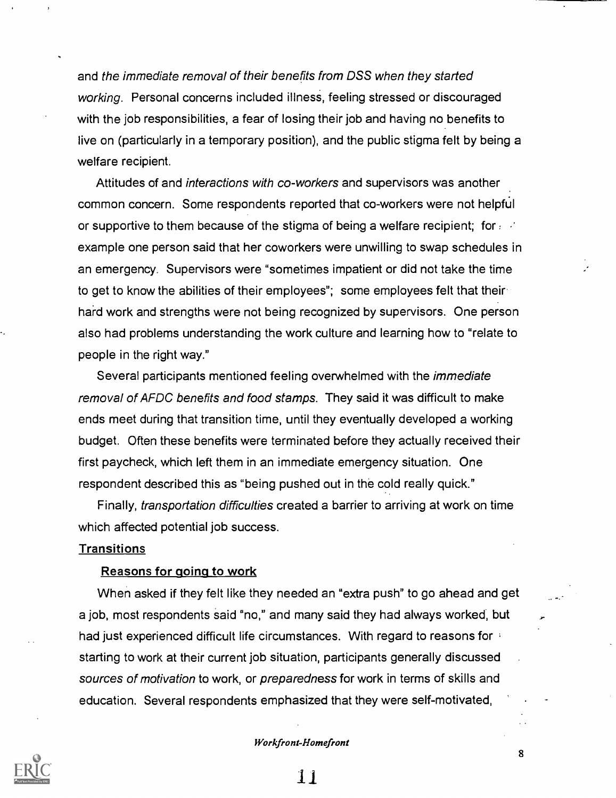and the immediate removal of their benefits from DSS when they started working. Personal concerns included illness, feeling stressed or discouraged with the job responsibilities, a fear of losing their job and having no benefits to live on (particularly in a temporary position), and the public stigma felt by being a welfare recipient.

Attitudes of and interactions with co-workers and supervisors was another common concern. Some respondents reported that co-workers were not helpful or supportive to them because of the stigma of being a welfare recipient; for  $\epsilon$ example one person said that her coworkers were unwilling to swap schedules in an emergency. Supervisors were "sometimes impatient or did not take the time to get to know the abilities of their employees"; some employees felt that their hard work and strengths were not being recognized by supervisors. One person also had problems understanding the work culture and learning how to "relate to people in the right way."

Several participants mentioned feeling overwhelmed with the immediate removal of AFDC benefits and food stamps. They said it was difficult to make ends meet during that transition time, until they eventually developed a working budget. Often these benefits were terminated before they actually received their first paycheck, which left them in an immediate emergency situation. One respondent described this as "being pushed out in the cold really quick."

Finally, transportation difficulties created a barrier to arriving at work on time which affected potential job success.

#### **Transitions**

#### Reasons for going to work

When asked if they felt like they needed an "extra push" to go ahead and get a job, most respondents said "no," and many said they had always worked, but had just experienced difficult life circumstances. With regard to reasons for a starting to work at their current job situation, participants generally discussed sources of motivation to work, or preparedness for work in terms of skills and education. Several respondents emphasized that they were self-motivated,

#### Workfront-Homefront

11

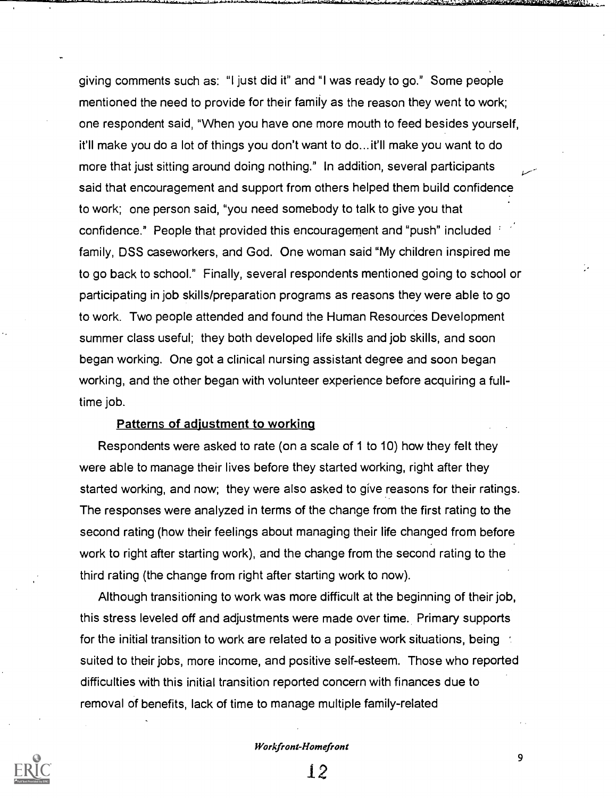giving comments such as: "I just did it" and "I was ready to go." Some people mentioned the need to provide for their family as the reason they went to work; one respondent said, "When you have one more mouth to feed besides yourself, it'll make you do a lot of things you don't want to do... it'll make you want to do more that just sitting around doing nothing." In addition, several participants said that encouragement and support from others helped them build confidence to work; one person said, "you need somebody to talk to give you that confidence." People that provided this encouragement and "push" included family, DSS caseworkers, and God. One woman said "My children inspired me to go back to school." Finally, several respondents mentioned going to school or participating in job skills/preparation programs as reasons they were able to go to work. Two people attended and found the Human Resources Development summer class useful; they both developed life skills and job skills, and soon began working. One got a clinical nursing assistant degree and soon began working, and the other began with volunteer experience before acquiring a fulltime job.

#### Patterns of adjustment to working

Respondents were asked to rate (on a scale of 1 to 10) how they felt they were able to manage their lives before they started working, right after they started working, and now; they were also asked to give reasons for their ratings. The responses were analyzed in terms of the change from the first rating to the second rating (how their feelings about managing their life changed from before work to right after starting work), and the change from the second rating to the third rating (the change from right after starting work to now).

Although transitioning to work was more difficult at the beginning of their job, this stress leveled off and adjustments were made over time. Primary supports for the initial transition to work are related to a positive work situations, being the suited to their jobs, more income, and positive self-esteem. Those who reported difficulties with this initial transition reported concern with finances due to removal of benefits, lack of time to manage multiple family-related

#### Workfront-Homefront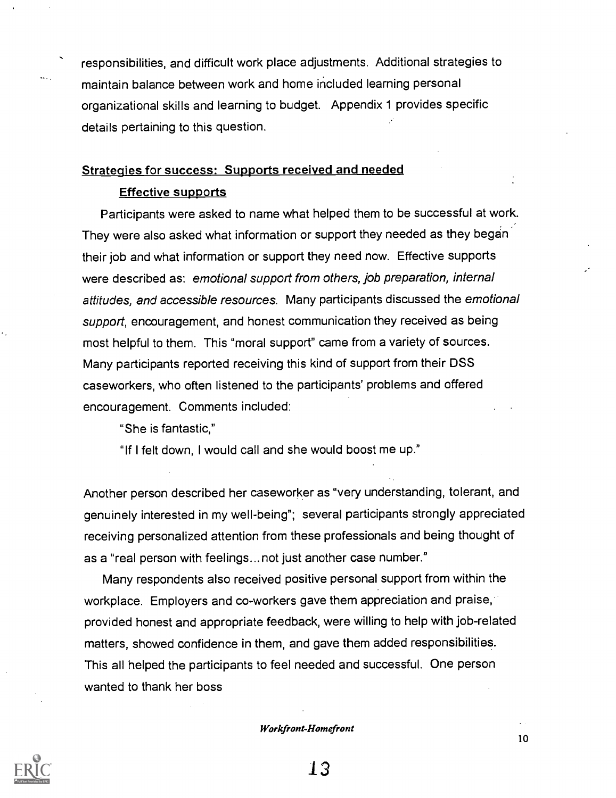responsibilities, and difficult work place adjustments. Additional strategies to maintain balance between work and home included learning personal organizational skills and learning to budget. Appendix 1 provides specific details pertaining to this question.

## Strategies for success: Supports received and needed

## Effective supports

Participants were asked to name what helped them to be successful at work. They were also asked what information or support they needed as they began their job and what information or support they need now. Effective supports were described as: emotional support from others, job preparation, internal attitudes, and accessible resources. Many participants discussed the emotional support, encouragement, and honest communication they received as being most helpful to them. This "moral support" came from a variety of sources. Many participants reported receiving this kind of support from their DSS caseworkers, who often listened to the participants' problems and offered encouragement. Comments included:

"She is fantastic,"

"If I felt down, I would call and she would boost me up."

Another person described her caseworker as "very understanding, tolerant, and genuinely interested in my well-being"; several participants strongly appreciated receiving personalized attention from these professionals and being thought of as a "real person with feelings...not just another case number."

Many respondents also received positive personal support from within the workplace. Employers and co-workers gave them appreciation and praise, provided honest and appropriate feedback, were willing to help with job-related matters, showed confidence in them, and gave them added responsibilities. This all helped the participants to feel needed and successful. One person wanted to thank her boss

Workfront-Homefront

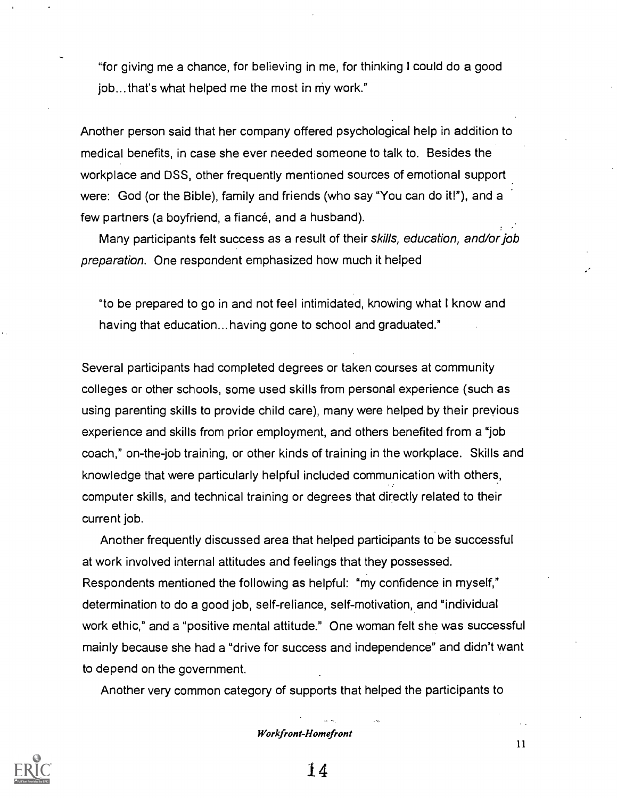"for giving me a chance, for believing in me, for thinking I could do a good job... that's what helped me the most in my work."

Another person said that her company offered psychological help in addition to medical benefits, in case she ever needed someone to talk to. Besides the workplace and DSS, other frequently mentioned sources of emotional support were: God (or the Bible), family and friends (who say "You can do it!"), and a few partners (a boyfriend, a fiancé, and a husband).

Many participants felt success as a result of their skills, education, and/or job preparation. One respondent emphasized how much it helped

"to be prepared to go in and not feel intimidated, knowing what I know and having that education... having gone to school and graduated."

Several participants had completed degrees or taken courses at community colleges or other schools, some used skills from personal experience (such as using parenting skills to provide child care), many were helped by their previous experience and skills from prior employment, and others benefited from a "job coach," on-the-job training, or other kinds of training in the workplace. Skills and knowledge that were particularly helpful included communication with others, computer skills, and technical training or degrees that directly related to their current job.

Another frequently discussed area that helped participants to be successful at work involved internal attitudes and feelings that they possessed. Respondents mentioned the following as helpful: "my confidence in myself," determination to do a good job, self-reliance, self-motivation, and "individual work ethic," and a "positive mental attitude." One woman felt she was successful mainly because she had a "drive for success and independence" and didn't want to depend on the government.

Another very common category of supports that helped the participants to

Workfront-Homefront

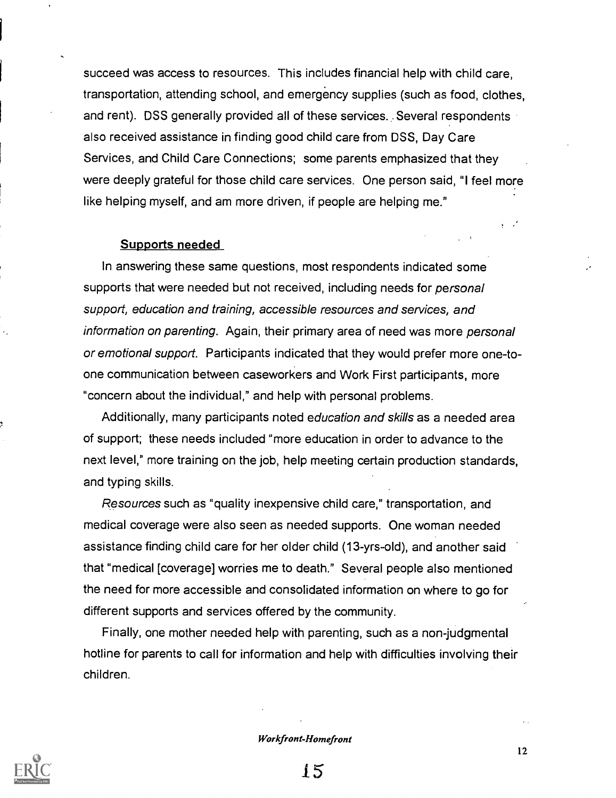succeed was access to resources. This includes financial help with child care, transportation, attending school, and emergency supplies (such as food, clothes, and rent). DSS generally provided all of these services. .Several respondents also received assistance in finding good child care from DSS, Day Care Services, and Child Care Connections; some parents emphasized that they were deeply grateful for those child care services. One person said, "I feel more like helping myself, and am more driven, if people are helping me."

#### Supports needed

In answering these same questions, most respondents indicated some supports that were needed but not received, including needs for *personal* support, education and training, accessible resources and services, and information on parenting. Again, their primary area of need was more personal or emotional support. Participants indicated that they would prefer more one-toone communication between caseworkers and Work First participants, more "concern about the individual," and help with personal problems.

Additionally, many participants noted education and skills as a needed area of support; these needs included "more education in order to advance to the next level," more training on the job, help meeting certain production standards, and typing skills.

Resources such as "quality inexpensive child care," transportation, and medical coverage were also seen as needed supports. One woman needed assistance finding child care for her older child (13-yrs-old), and another said that "medical [coverage] worries me to death." Several people also mentioned the need for more accessible and consolidated information on where to go for different supports and services offered by the community.

Finally, one mother needed help with parenting, such as a non-judgmental hotline for parents to call for information and help with difficulties involving their children.

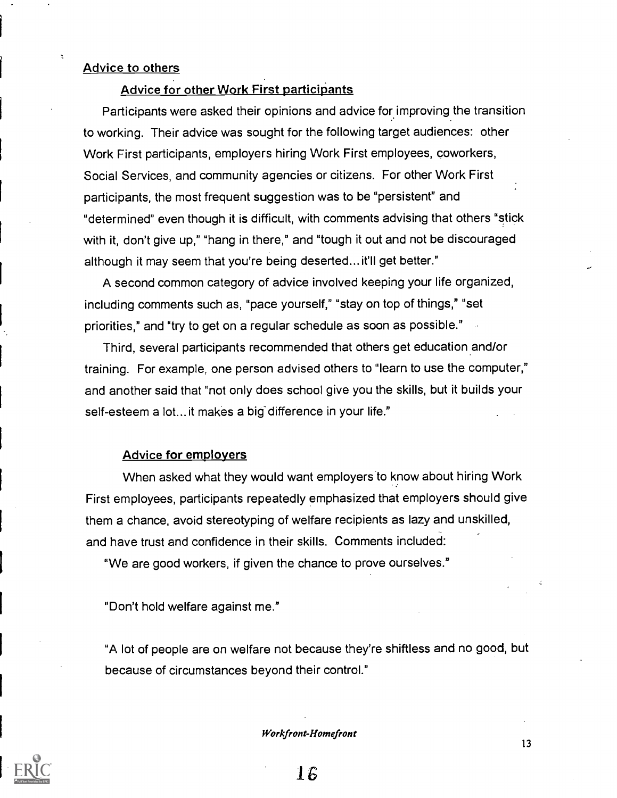## Advice to others

## Advice for other Work First participants

Participants were asked their opinions and advice for improving the transition to working. Their advice was sought for the following target audiences: other Work First participants, employers hiring Work First employees, coworkers, Social Services, and community agencies or citizens. For other Work First participants, the most frequent suggestion was to be "persistent" and "determined" even though it is difficult, with comments advising that others "stick with it, don't give up," "hang in there," and "tough it out and not be discouraged although it may seem that you're being deserted... it'll get better."

A second common category of advice involved keeping your life organized, including comments such as, "pace yourself," "stay on top of things," "set priorities," and "try to get on a regular schedule as soon as possible."

Third, several participants recommended that others get education and/or training. For example, one person advised others to "learn to use the computer," and another said that "not only does school give you the skills, but it builds your self-esteem a lot... it makes a big difference in your life."

## Advice for employers

When asked what they would want employers to know about hiring Work First employees, participants repeatedly emphasized that employers should give them a chance, avoid stereotyping of welfare recipients as lazy and unskilled, and have trust and confidence in their skills. Comments included:

"We are good workers, if given the chance to prove ourselves."

"Don't hold welfare against me."

"A lot of people are on welfare not because they're shiftless and no good, but because of circumstances beyond their control."

Workfront-Homefront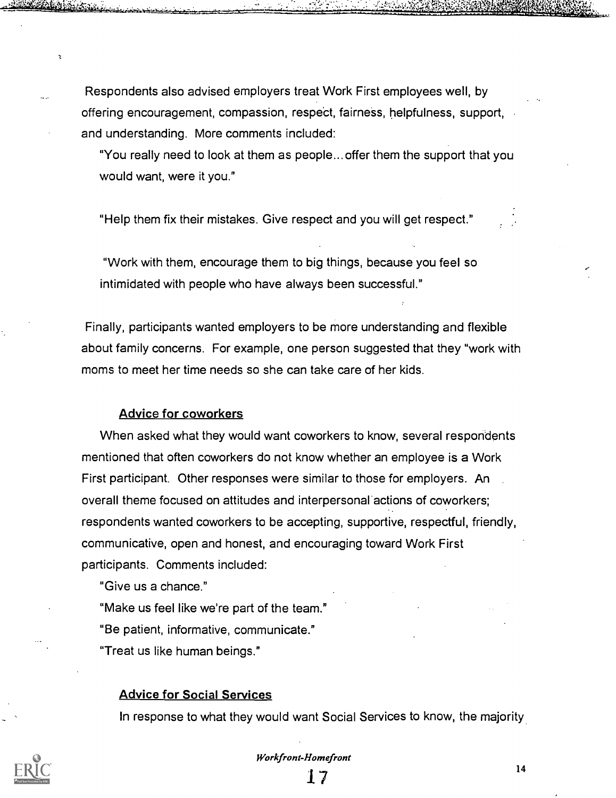Respondents also advised employers treat Work First employees well, by offering encouragement, compassion, respect, fairness, helpfulness, support, and understanding. More comments included:

"You really need to look at them as people... offer them the support that you would want, were it you."

"Help them fix their mistakes. Give respect and you will get respect."

"Work with them, encourage them to big things, because you feel so intimidated with people who have always been successful."

Finally, participants wanted employers to be more understanding and flexible about family concerns. For example, one person suggested that they "work with moms to meet her time needs so she can take care of her kids.

#### Advice for coworkers

When asked what they would want coworkers to know, several respondents mentioned that often coworkers do not know whether an employee is a Work First participant. Other responses were similar to those for employers. An overall theme focused on attitudes and interpersonal actions of coworkers; respondents wanted coworkers to be accepting, supportive, respectful, friendly, communicative, open and honest, and encouraging toward Work First participants. Comments included:

"Give us a chance."

"Make us feel like we're part of the team." "Be patient, informative, communicate." "Treat us like human beings."

#### Advice for Social Services

In response to what they would want Social Services to know, the majority

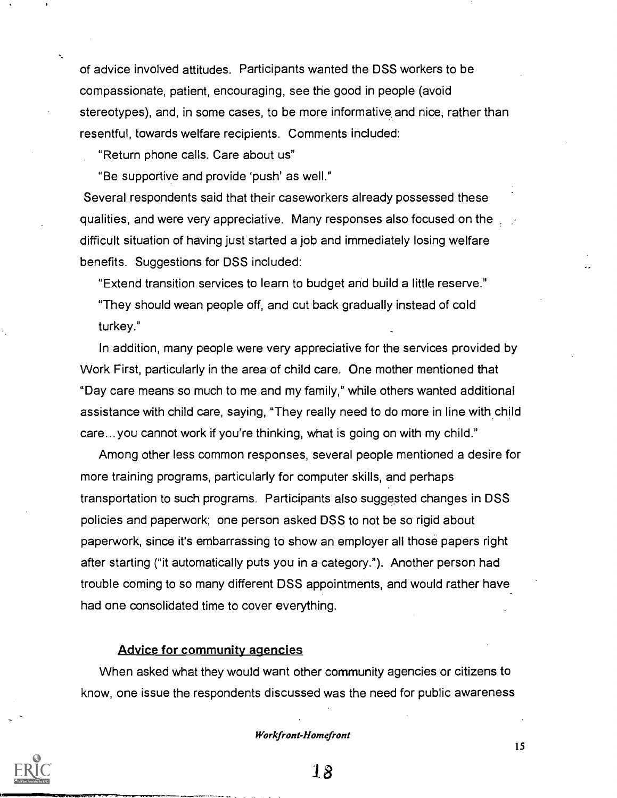of advice involved attitudes. Participants wanted the DSS workers to be compassionate, patient, encouraging, see the good in people (avoid stereotypes), and, in some cases, to be more informative and nice, rather than resentful, towards welfare recipients. Comments included:

"Return phone calls. Care about us"

"Be supportive and provide 'push' as well."

Several respondents said that their caseworkers already possessed these qualities, and were very appreciative. Many responses also focused on the difficult situation of having just started a job and immediately losing welfare benefits. Suggestions for DSS included:

"Extend transition services to learn to budget and build a little reserve." "They should wean people off, and cut back gradually instead of cold turkey."

In addition, many people were very appreciative for the services provided by Work First, particularly in the area of child care. One mother mentioned that "Day care means so much to me and my family," while others wanted additional assistance with child care, saying, "They really need to do more in line with child care... you cannot work if you're thinking, what is going on with my child."

Among other less common responses, several people mentioned a desire for more training programs, particularly for computer skills, and perhaps transportation to such programs. Participants also suggested changes in DSS policies and paperwork; one person asked DSS to not be so rigid about paperwork, since it's embarrassing to show an employer all those papers right after starting ("it automatically puts you in a category."). Another person had trouble coming to so many different DSS appointments, and would rather have had one consolidated time to cover everything.

## Advice for community agencies

When asked what they would want other community agencies or citizens to know, one issue the respondents discussed was the need for public awareness

#### Workfront-Homefront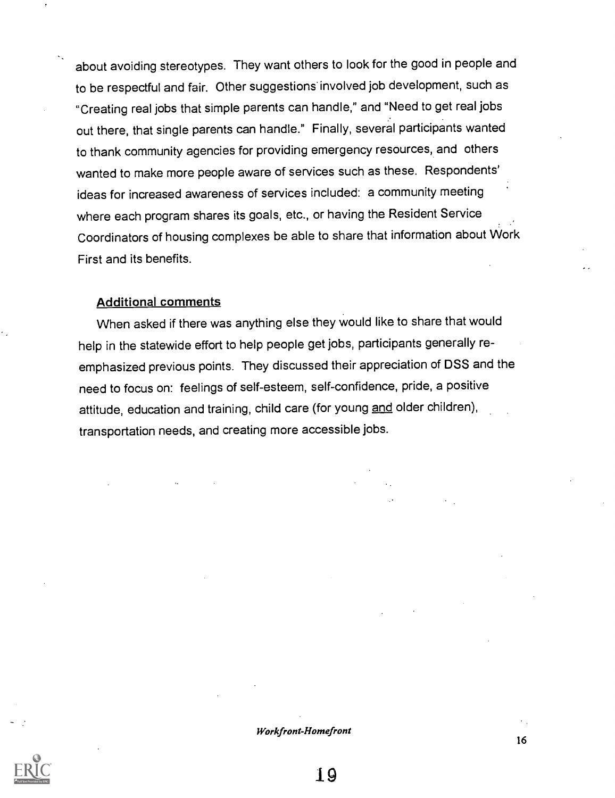about avoiding stereotypes. They want others to look for the good in people and to be respectful and fair. Other suggestions' involved job development, such as "Creating real jobs that simple parents can handle," and "Need to get real jobs out there, that single parents can handle." Finally, several participants wanted to thank community agencies for providing emergency resources, and others wanted to make more people aware of services such as these. Respondents' ideas for increased awareness of services included: a community meeting where each program shares its goals, etc., or having the Resident Service Coordinators of housing complexes be able to share that information about Work First and its benefits.

## Additional comments

When asked if there was anything else they would like to share that would help in the statewide effort to help people get jobs, participants generally reemphasized previous points. They discussed their appreciation of DSS and the need to focus on: feelings of self-esteem, self-confidence, pride, a positive attitude, education and training, child care (for young and older children), transportation needs, and creating more accessible jobs.

#### Workfront-Homefront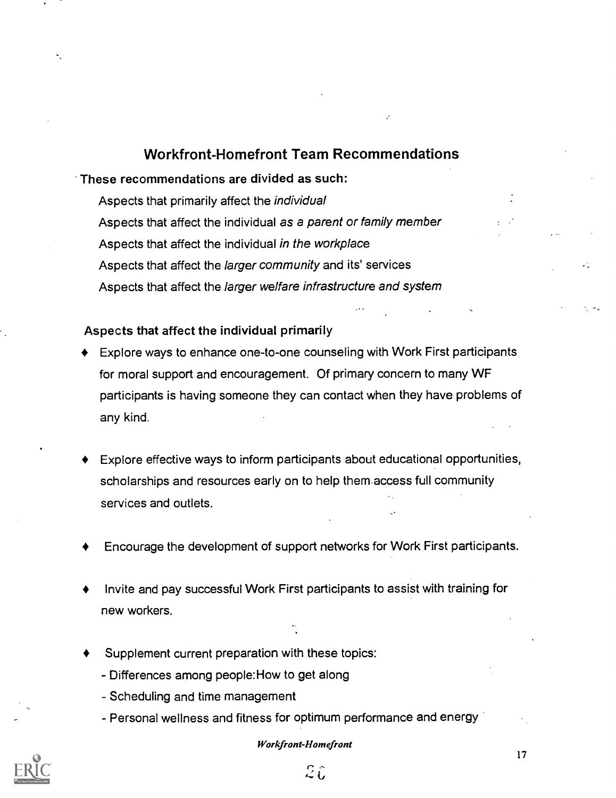## Workfront-Homefront Team Recommendations

These recommendations are divided as such:

Aspects that primarily affect the individual Aspects that affect the individual as a parent or family member Aspects that affect the individual in the workplace Aspects that affect the larger community and its' services Aspects that affect the larger welfare infrastructure and system

## Aspects that affect the individual primarily

- Explore ways to enhance one-to-one counseling with Work First participants for moral support and encouragement. Of primary concern to many WF participants is having someone they can contact when they have problems of any kind.
- Explore effective ways to inform participants about educational opportunities, scholarships and resources early on to help them access full community services and outlets.
- Encourage the development of support networks for Work First participants.
- Invite and pay successful Work First participants to assist with training for new workers.
- Supplement current preparation with these topics:
	- Differences among people:How to get along
	- Scheduling and time management
	- Personal wellness and fitness for optimum performance and energy

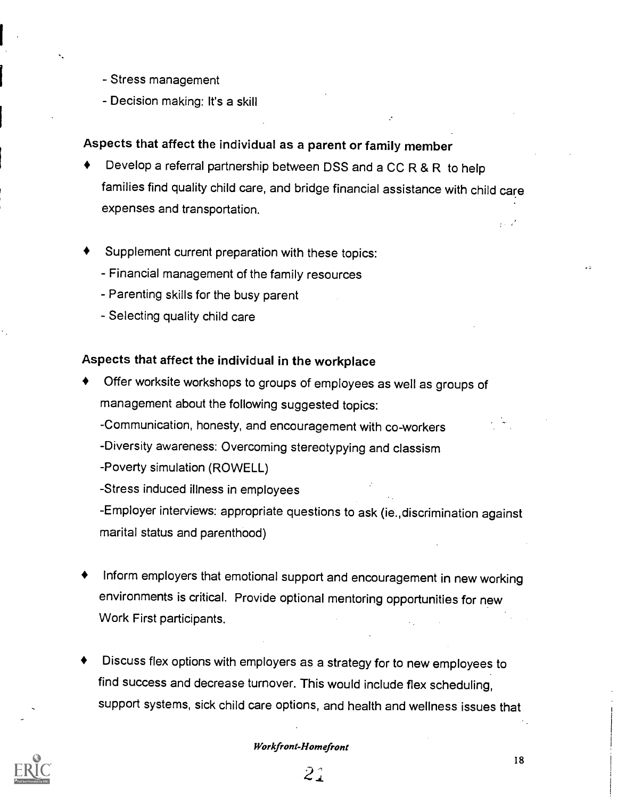- Stress management
- Decision making: It's a skill

## Aspects that affect the individual as a parent or family member

- Develop a referral partnership between DSS and a CC R & R to help families find quality child care, and bridge financial assistance with child care expenses and transportation.
- Supplement current preparation with these topics:
	- Financial management of the family resources
	- Parenting skills for the busy parent
	- Selecting quality child care

## Aspects that affect the individual in the workplace

- Offer worksite workshops to groups of employees as well as groups of management about the following suggested topics:
	- -Communication, honesty, and encouragement with co-workers
	- -Diversity awareness: Overcoming stereotypying and classism
	- Poverty simulation (ROWELL)
	- Stress induced illness in employees
	- Employer interviews: appropriate questions to ask (ie.,discrimination against marital status and parenthood)
- Inform employers that emotional support and encouragement in new working environments is critical. Provide optional mentoring opportunities for new Work First participants.
- Discuss flex options with employers as a strategy for to new employees to find success and decrease turnover. This would include flex scheduling, support systems, sick child care options, and health and wellness issues that

#### workfront\_Homefront

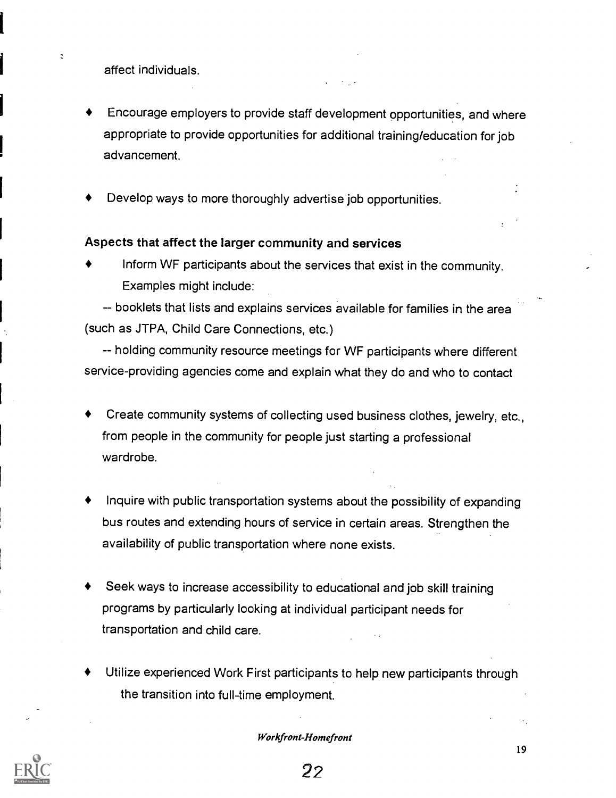affect individuals.

- Encourage employers to provide staff development opportunities, and where appropriate to provide opportunities for additional training/education for job advancement.
- Develop ways to more thoroughly advertise job opportunities.

## Aspects that affect the larger community and services

Inform WF participants about the services that exist in the community. Examples might include:

-- booklets that lists and explains services available for families in the area (such as JTPA, Child Care Connections, etc.)

-- holding community resource meetings for WF participants where different service-providing agencies come and explain what they do and who to contact

- Create community systems of collecting used business clothes, jewelry, etc., from people in the community for people just starting a professional wardrobe.
- Inquire with public transportation systems about the possibility of expanding bus routes and extending hours of service in certain areas. Strengthen the availability of public transportation where none exists.
- Seek ways to increase accessibility to educational and job skill training programs by particularly looking at individual participant needs for transportation and child care.
- Utilize experienced Work First participants to help new participants through the transition into full-time employment.

Workfront-Homefront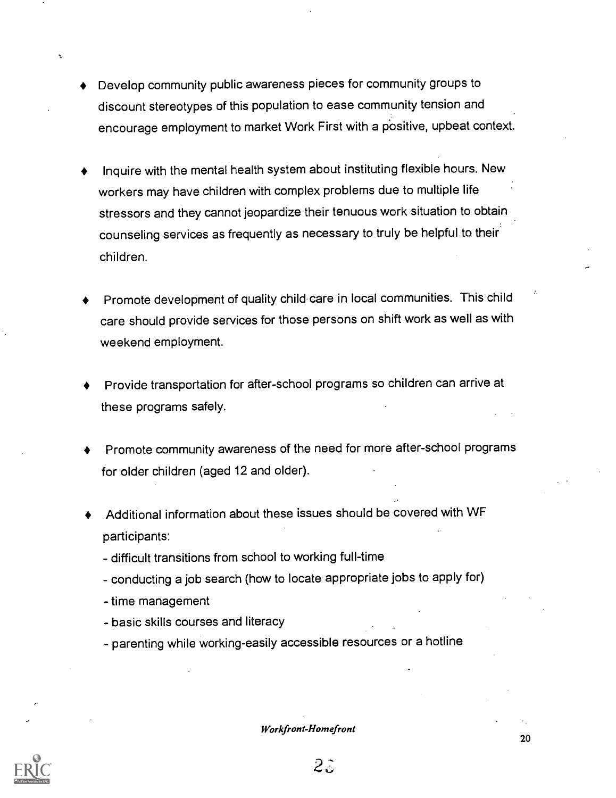- Develop community public awareness pieces for community groups to discount stereotypes of this population to ease community tension and encourage employment to market Work First with a positive, upbeat context.
- Inquire with the mental health system about instituting flexible hours. New workers may have children with complex problems due to multiple life stressors and they cannot jeopardize their tenuous work situation to obtain counseling services as frequently as necessary to truly be helpful to their children.
- Promote development of quality child care in local communities. This child care should provide services for those persons on shift work as well as with weekend employment.
- Provide transportation for after-school programs so children can arrive at these programs safely.
- Promote community awareness of the need for more after-school programs for older children (aged 12 and older).
- Additional information about these issues should be covered with WF participants:
	- difficult transitions from school to working full-time
	- conducting a job search (how to locate appropriate jobs to apply for)
	- time management
	- basic skills courses and literacy
	- parenting while working-easily accessible resources or a hotline

#### Workfront-Homefront

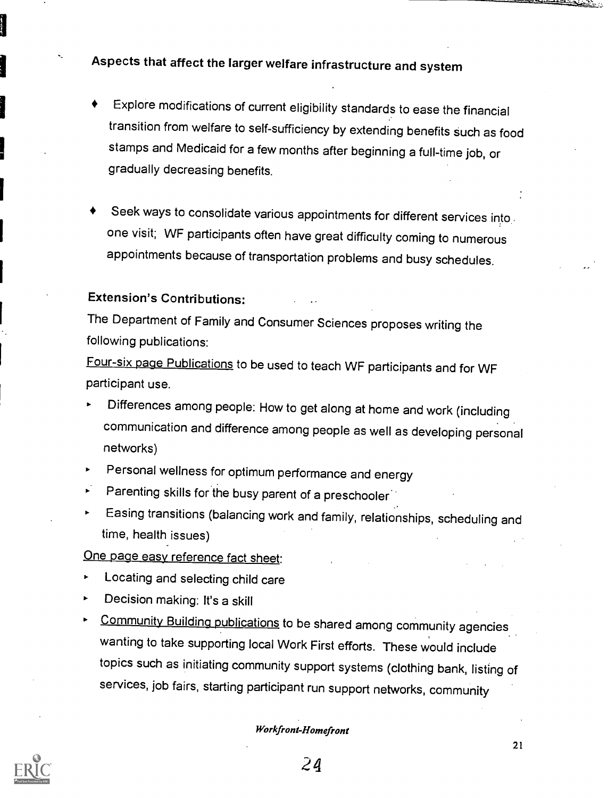Aspects that affect the larger welfare infrastructure and system

- Explore modifications of current eligibility standards to ease the financial transition from welfare to self-sufficiency by extending benefits such as food stamps and Medicaid for a few months after beginning a full-time job, or gradually decreasing benefits.
- Seek ways to consolidate various appointments for different services into.. one visit; WF participants often have great difficulty coming to numerous appointments because of transportation problems and busy schedules.

## Extension's Contributions:

The Department of Family and Consumer Sciences proposes writing the following publications:

Four-six page Publications to be used to teach WF participants and for WF participant use.

- Differences among people: How to get along at home and work (including communication and difference among people as well as developing personal networks)
- Personal wellness for optimum performance and energy
- Parenting skills for the busy parent of a preschooler
- Easing transitions (balancing work and family, relationships, scheduling and time, health issues)

One page easy reference fact sheet:

- Locating and selecting child care
- Decision making: It's a skill
- Community Building publications to be shared among community agencies wanting to take supporting local Work First efforts. These would include topics such as initiating community support systems (clothing bank, listing of services, job fairs, starting participant run support networks, community

## Workfront-Homefront



24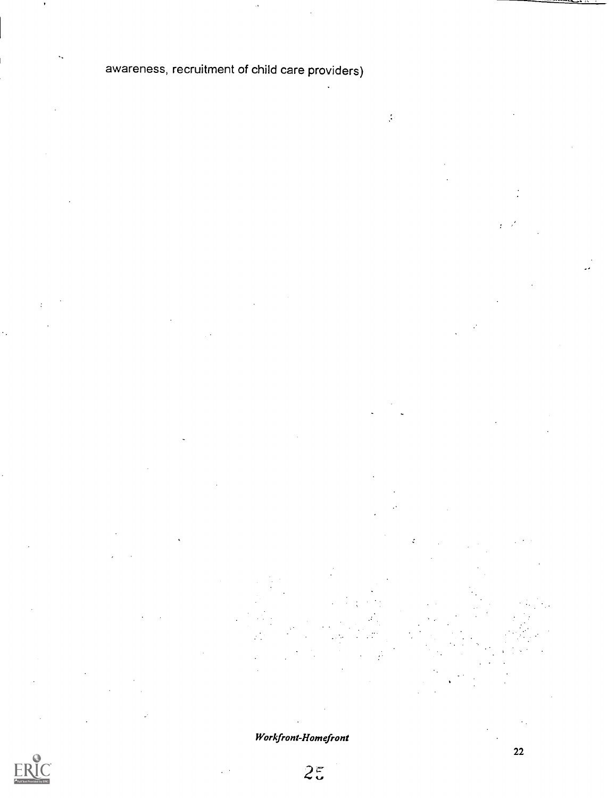# awareness, recruitment of child care providers)

 $\frac{1}{2}$ 

Workfront-Homefront



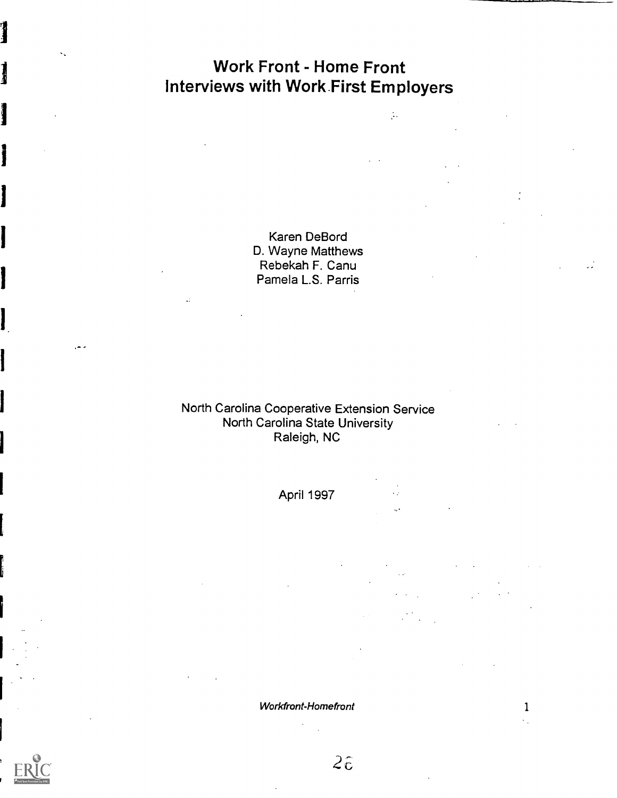# Work Front - Home Front Interviews with Work First Employers

 $\frac{1}{2}$  .

Karen DeBord D. Wayne Matthews Rebekah F. Canu Pamela L.S. Parris

## North Carolina Cooperative Extension Service North Carolina State University Raleigh, NC

April 1997

 $\ddot{\phantom{0}}$ 

Workfront-Homefront 1



 $2\hat{c}$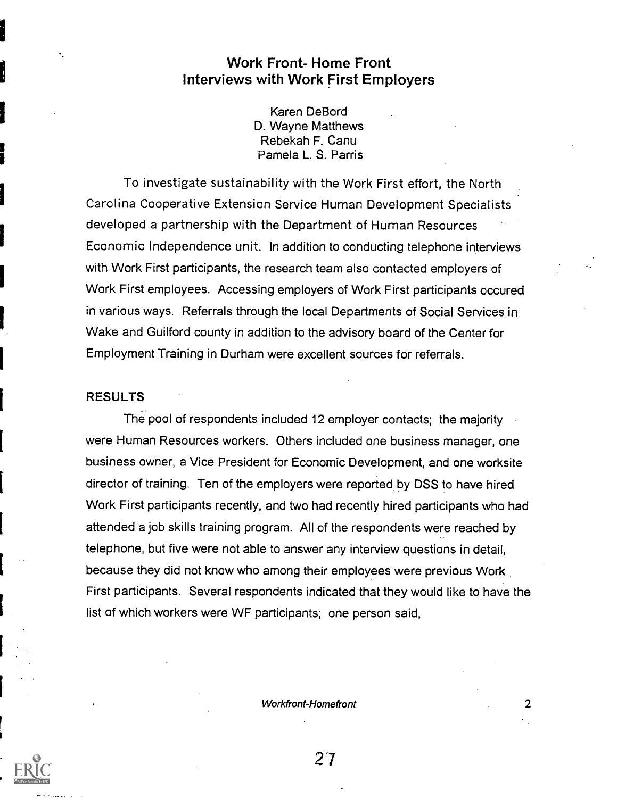## Work Front- Home Front Interviews with Work First Employers

Karen DeBord D. Wayne Matthews Rebekah F. Canu Pamela L. S. Parris

To investigate sustainability with the Work First effort, the North Carolina Cooperative Extension Service Human Development Specialists developed a partnership with the Department of Human Resources Economic Independence unit. In addition to conducting telephone interviews with Work First participants, the research team also contacted employers of Work First employees. Accessing employers of Work First participants occured in various ways. Referrals through the local Departments of Social Services in Wake and Guilford county in addition to the advisory board of the Center for Employment Training in Durham were excellent sources for referrals.

## RESULTS

The pool of respondents included 12 employer contacts; the majority were Human Resources workers. Others included one business manager, one business owner, a Vice President for Economic Development, and one worksite director of training. Ten of the employers were reported by DSS to have hired Work First participants recently, and two had recently hired participants who had attended a job skills training program. All of the respondents were reached by telephone, but five were not able to answer any interview questions in detail, because they did not know who among their employees were previous Work First participants. Several respondents indicated that they would like to have the list of which workers were WF participants; one person said,

Workfront-Homefront 2008

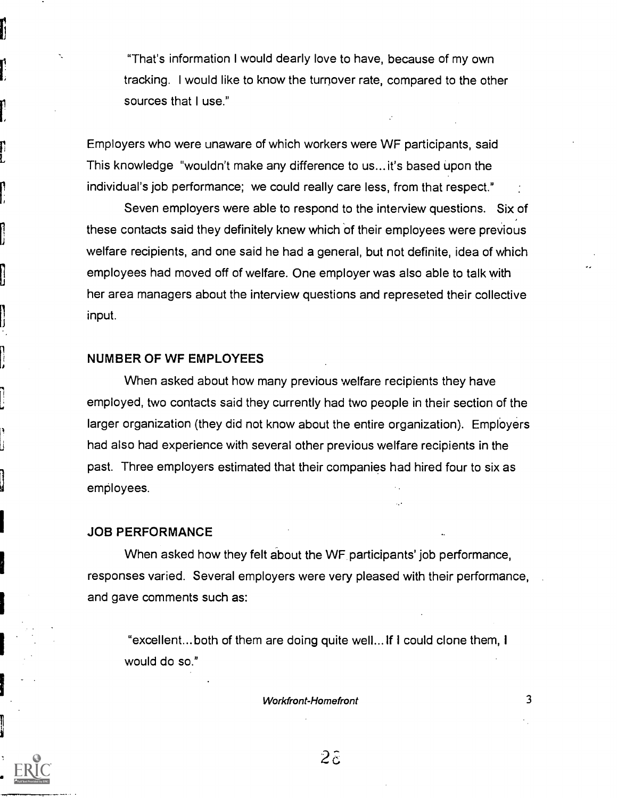"That's information I would dearly love to have, because of my own tracking. I would like to know the turnover rate, compared to the other sources that I use."

Employers who were unaware of which workers were WF participants, said This knowledge "wouldn't make any difference to us... it's based upon the individual's job performance; we could really care less, from that respect."

Seven employers were able to respond to the interview questions. Six of these contacts said they definitely knew which of their employees were previous welfare recipients, and one said he had a general, but not definite, idea of which employees had moved off of welfare. One employer was also able to talk with her area managers about the interview questions and represeted their collective input.

## NUMBER OF WF EMPLOYEES

When asked about how many previous welfare recipients they have employed, two contacts said they currently had two people in their section of the larger organization (they did not know about the entire organization). Employers had also had experience with several other previous welfare recipients in the past. Three employers estimated that their companies had hired four to six as employees.

#### JOB PERFORMANCE

When asked how they felt about the WF participants' job performance, responses varied. Several employers were very pleased with their performance, and gave comments such as:

"excellent... both of them are doing quite well... If I could clone them, I would do so."

Workfront-Homefront 3

 $2\tilde{c}$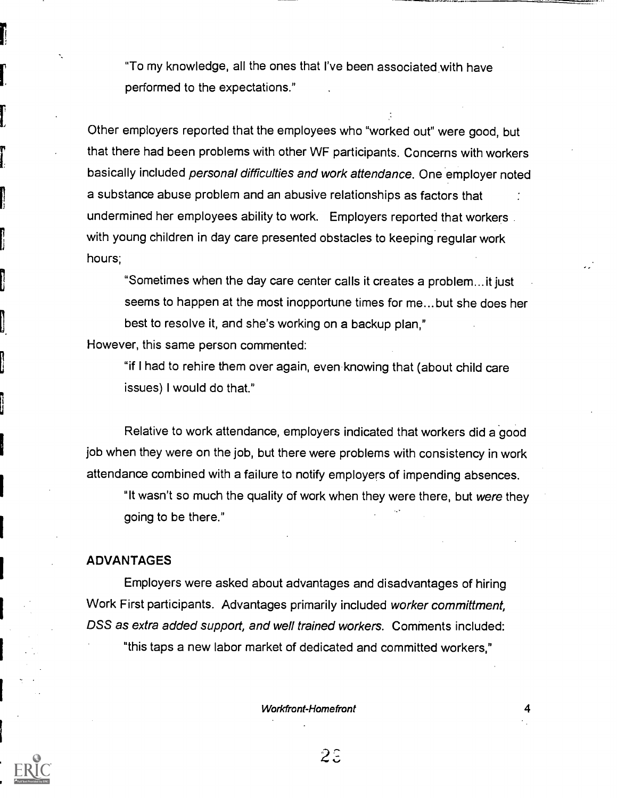"To my knowledge, all the ones that I've been associated with have performed to the expectations."

Other employers reported that the employees who "worked out" were good, but that there had been problems with other WF participants. Concerns with workers basically included personal difficulties and work attendance. One employer noted a substance abuse problem and an abusive relationships as factors that undermined her employees ability to work. Employers reported that workers. with young children in day care presented obstacles to keeping regular work hours;

"Sometimes when the day care center calls it creates a problem...it just seems to happen at the most inopportune times for me... but she does her best to resolve it, and she's working on a backup plan,"

However, this same person commented:

"if I had to rehire them over again, even knowing that (about child care issues) I would do that."

Relative to work attendance, employers indicated that workers did a good job when they were on the job, but there were problems with consistency in work attendance combined with a failure to notify employers of impending absences.

"It wasn't so much the quality of work when they were there, but were they going to be there."

#### ADVANTAGES

Employers were asked about advantages and disadvantages of hiring Work First participants. Advantages primarily included worker committment. DSS as extra added support, and well trained workers. Comments included: "this taps a new labor market of dedicated and committed workers,"

Workfront-Homefront 4

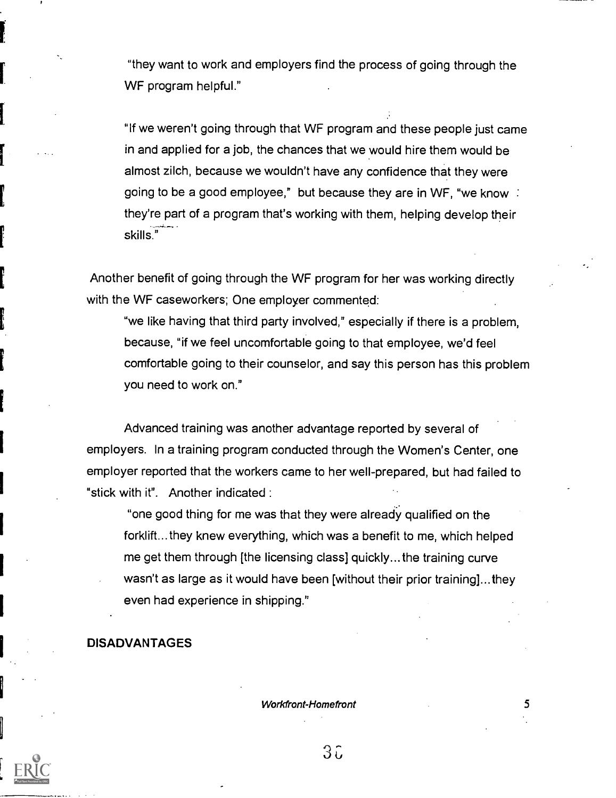"they want to work and employers find the process of going through the WF program helpful."

"If we weren't going through that WF program and these people just came in and applied for a job, the chances that we would hire them would be almost zilch, because we wouldn't have any confidence that they were going to be a good employee," but because they are in WF, "we know : they're part of a program that's working with them, helping develop their skills."

Another benefit of going through the WF program for her was working directly with the WF caseworkers; One employer commented:

"we like having that third party involved," especially if there is a problem, because, "if we feel uncomfortable going to that employee, we'd feel comfortable going to their counselor, and say this person has this problem you need to work on."

Advanced training was another advantage reported by several of employers. In a training program conducted through the Women's Center, one employer reported that the workers came to her well-prepared, but had failed to "stick with it". Another indicated :

"one good thing for me was that they were already qualified on the forklift...they knew everything, which was a benefit to me, which helped me get them through [the licensing class] quickly...the training curve wasn't as large as it would have been [without their prior training]...they even had experience in shipping."

## DISADVANTAGES

Workfront-Homefront 5



 $3\overline{c}$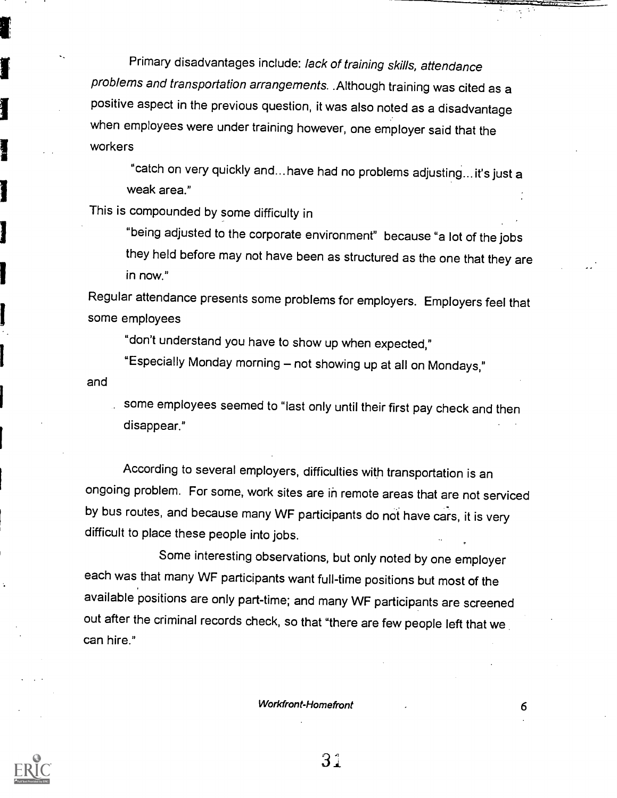Primary disadvantages include: lack of training skills, attendance problems and transportation arrangements. .Although training was cited as a positive aspect in the previous question, it was also noted as a disadvantage when employees were under training however, one employer said that the workers

"catch on very quickly and... have had no problems adjusting... it's just a weak area."

This is compounded by some difficulty in

"being adjusted to the corporate environment" because "a lot of the jobs they held before may not have been as structured as the one that they are in now."

Regular attendance presents some problems for employers. Employers feel that some employees

"don't understand you have to show up when expected,"

"Especially Monday morning - not showing up at all on Mondays,"

and

some employees seemed to "last only until their first pay check and then disappear."

According to several employers, difficulties with transportation is an ongoing problem. For some, work sites are in remote areas that are not serviced by bus routes, and because many WF participants do not have cars, it is very difficult to place these people into jobs.

Some interesting observations, but only noted by one employer each was that many WF participants want full-time positions but most of the available positions are only part-time; and many WF participants are screened out after the criminal records check, so that "there are few people left that we can hire."

Workfront-Homefront 6

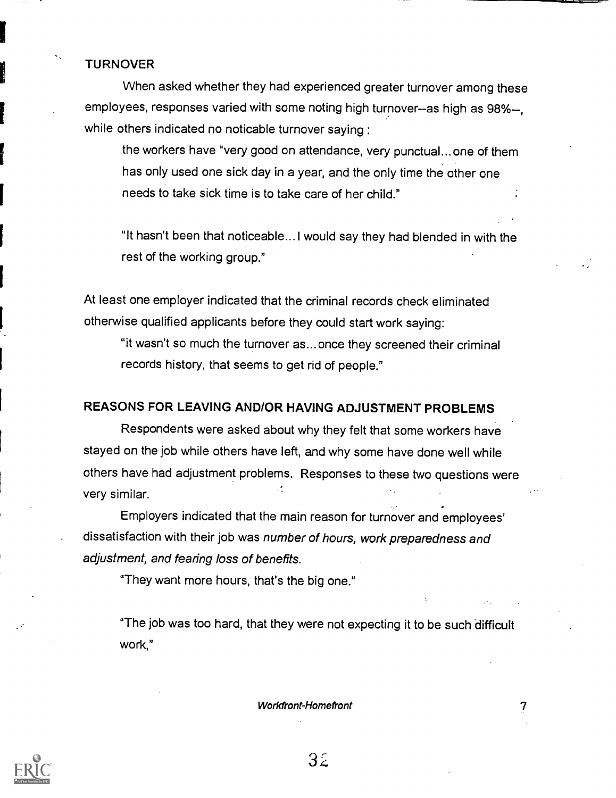## TURNOVER

When asked whether they had experienced greater turnover among these employees, responses varied with some noting high turnover--as high as 98%--. while others indicated no noticable turnover saying :

the workers have "very good on attendance, very punctual... one of them has only used one sick day in a year, and the only time the other one needs to take sick time is to take care of her child."

"It hasn't been that noticeable... I would say they had blended in with the rest of the working group."

At least one employer indicated that the criminal records check eliminated otherwise qualified applicants before they could start work saying:

"it wasn't so much the turnover as... once they screened their criminal records history, that seems to get rid of people."

## REASONS FOR LEAVING AND/OR HAVING ADJUSTMENT PROBLEMS

Respondents were asked about why they felt that some workers have stayed on the job while others have left, and why some have done well while others have had adjustment problems. Responses to these two questions were very similar.

Employers indicated that the main reason for turnover and employees' dissatisfaction with their job was number of hours, work preparedness and adjustment, and fearing loss of benefits.

"They want more hours, that's the big one."

"The job was too hard, that they were not expecting it to be such difficult work,"

Workfront-Homefront

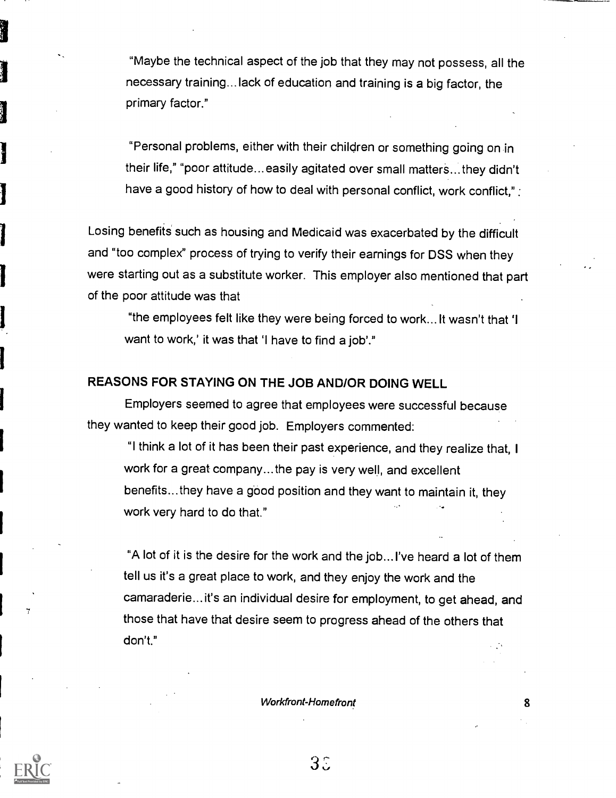"Maybe the technical aspect of the job that they may not possess, all the necessary training...lack of education and training is a big factor, the primary factor."

"Personal problems, either with their children or something going on in their life," "poor attitude... easily agitated over small matters...they didn't have a good history of how to deal with personal conflict, work conflict,"

Losing benefits such as housing and Medicaid was exacerbated by the difficult and "too complex" process of trying to verify their earnings for DSS when they were starting out as a substitute worker. This employer also mentioned that part of the poor attitude was that

"the employees felt like they were being forced to work... It wasn't that `I want to work,' it was that 'I have to find a job'."

## REASONS FOR STAYING ON THE JOB AND/OR DOING WELL

Employers seemed to agree that employees were successful because they wanted to keep their good job. Employers commented:

"I think a lot of it has been their past experience, and they realize that, 1 work for a great company... the pay is very well, and excellent benefits... they have a good position and they want to maintain it, they work very hard to do that."

"A lot of it is the desire for the work and the job... I've heard a lot of them tell us it's a great place to work, and they enjoy the work and the camaraderie... it's an individual desire for employment, to get ahead, and those that have that desire seem to progress ahead of the others that don't."

Workfront-Homefront 8

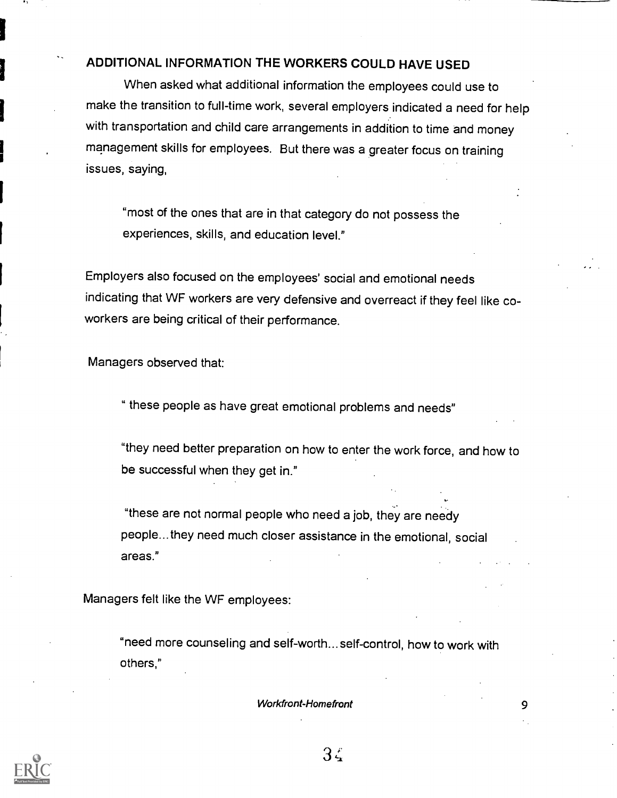## ADDITIONAL INFORMATION THE WORKERS COULD HAVE USED

When asked what additional information the employees could use to make the transition to full-time work, several employers indicated a need for help with transportation and child care arrangements in addition to time and money management skills for employees. But there was a greater focus on training issues, saying,

"most of the ones that are in that category do not possess the experiences, skills, and education level."

Employers also focused on the employees' social and emotional needs indicating that WF workers are very defensive and overreact if they feel like coworkers are being critical of their performance.

Managers observed that:

" these people as have great emotional problems and needs"

"they need better preparation on how to enter the work force, and how to be successful when they get in."

"these are not normal people who need a job, they are needy people...they need much closer assistance in the emotional, social areas."

Managers felt like the WF employees:

"need more counseling and self-worth... self-control, how to work with others,"

Workfront-Homefront 9



 $3\zeta$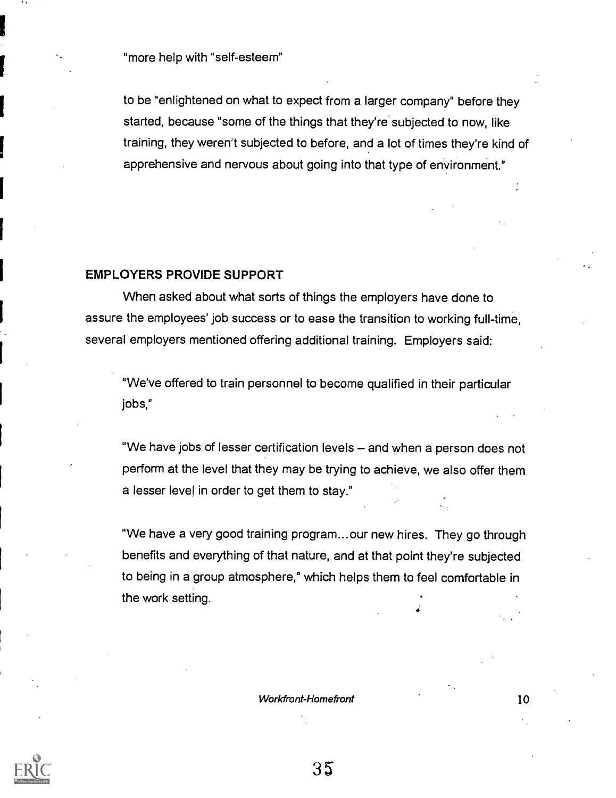"more help with "self-esteem"

to be "enlightened on what to expect from a larger company" before they started, because "some of the things that they're subjected to now, like training, they weren't subjected to before, and a lot of times they're kind of apprehensive and nervous about going into that type of environment."

## EMPLOYERS PROVIDE SUPPORT

When asked about what sorts of things the employers have done to assure the employees' job success or to ease the transition to working full-time, several employers mentioned offering additional training. Employers said:

"We've offered to train personnel to become qualified in their particular jobs,"

"We have jobs of lesser certification levels – and when a person does not perform at the level that they may be trying to achieve, we also offer them a lesser level in order to get them to stay."

"We have a very good training program... our new hires. They go through benefits and everything of that nature, and at that point they're subjected to being in a group atmosphere," which helps them to feel comfortable in the work setting.

#### Workfront-Homefront 10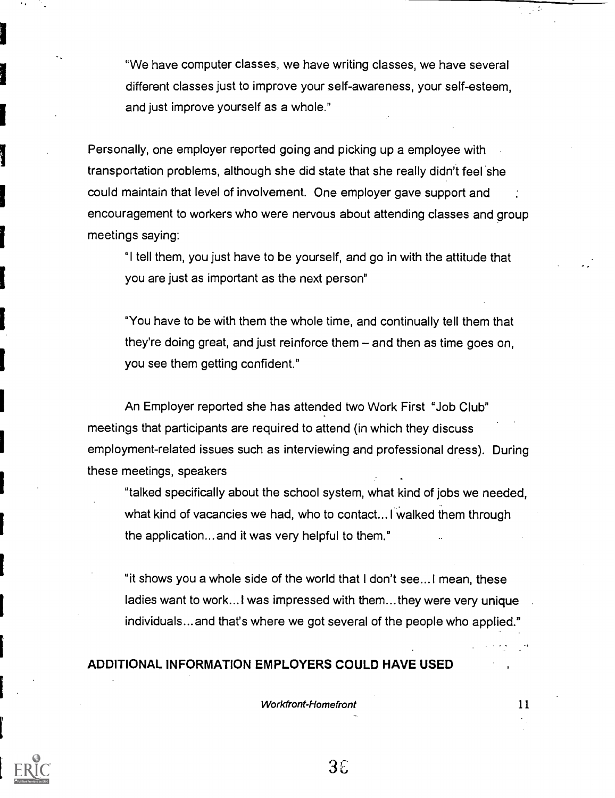"We have computer classes, we have writing classes, we have several different classes just to improve your self-awareness, your self-esteem, and just improve yourself as a whole."

Personally, one employer reported going and picking up a employee with transportation problems, although she did state that she really didn't feel she could maintain that level of involvement. One employer gave support and : encouragement to workers who were nervous about attending classes and group meetings saying:

"I tell them, you just have to be yourself, and go in with the attitude that you are just as important as the next person"

"You have to be with them the whole time, and continually tell them that they're doing great, and just reinforce them  $-$  and then as time goes on, you see them getting confident."

An Employer reported she has attended two Work First "Job Club" meetings that participants are required to attend (in which they discuss employment-related issues such as interviewing and professional dress). During these meetings, speakers

"talked specifically about the school system, what kind of jobs we needed, what kind of vacancies we had, who to contact... I walked them through the application... and it was very helpful to them."

"it shows you a whole side of the world that I don't see...1 mean, these ladies want to work... I was impressed with them... they were very unique individuals... and that's where we got several of the people who applied."

## ADDITIONAL INFORMATION EMPLOYERS COULD HAVE USED

Workfront-Homefront 11

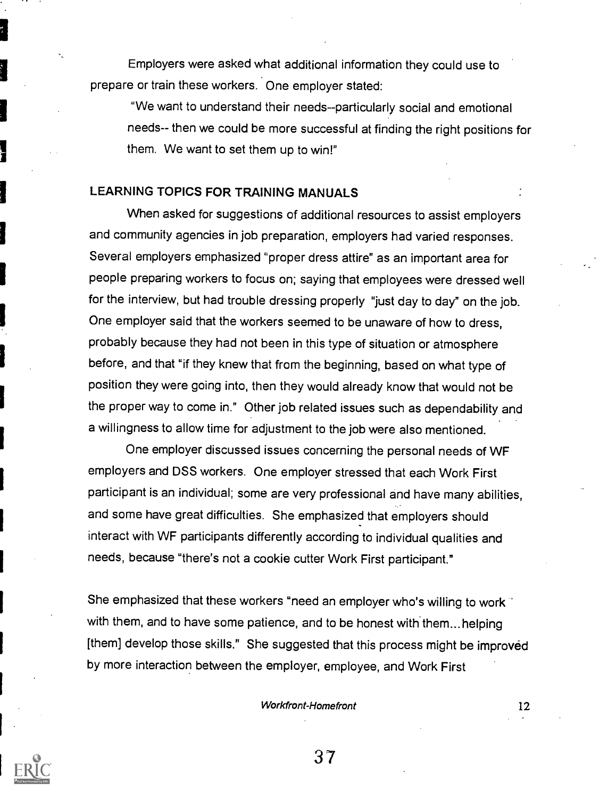Employers were asked what additional information they could use to prepare or train these workers. One employer stated:

"We want to understand their needs--particularly social and emotional needs-- then we could be more successful at finding the right positions for them. We want to set them up to win!"

## LEARNING TOPICS FOR TRAINING MANUALS

When asked for suggestions of additional resources to assist employers and community agencies in job preparation, employers had varied responses. Several employers emphasized "proper dress attire" as an important area for people preparing workers to focus on; saying that employees were dressed well for the interview, but had trouble dressing properly "just day to day" on the job. One employer said that the workers seemed to be unaware of how to dress, probably because they had not been in this type of situation or atmosphere before, and that "if they knew that from the beginning, based on what type of position they were going into, then they would already know that would not be the proper way to come in." Other job related issues such as dependability and a willingness to allow time for adjustment to the job were also mentioned.

One employer discussed issues concerning the personal needs of WF employers and DSS workers. One employer stressed that each Work First participant is an individual; some are very professional and have many abilities, and some have great difficulties. She emphasized that employers should interact with WF participants differently according to individual qualities and needs, because "there's not a cookie cutter Work First participant."

She emphasized that these workers "need an employer who's willing to work" with them, and to have some patience, and to be honest with them... helping [them] develop those skills." She suggested that this process might be improved by more interaction between the employer, employee, and Work First

#### Workfront-Homefront 12

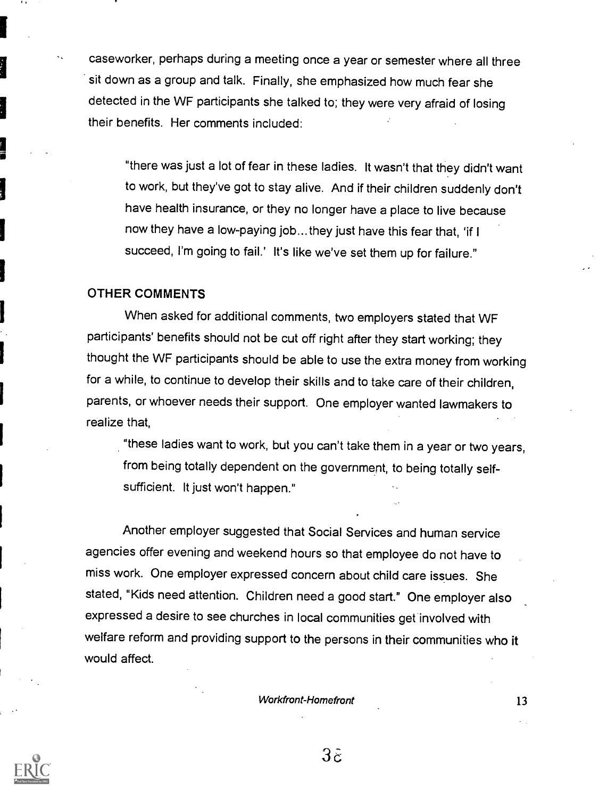caseworker, perhaps during a meeting once a year or semester where all three sit down as a group and talk. Finally, she emphasized how much fear she detected in the WF participants she talked to; they were very afraid of losing their benefits. Her comments included:

"there was just a lot of fear in these ladies. It wasn't that they didn't want to work, but they've got to stay alive. And if their children suddenly don't have health insurance, or they no longer have a place to live because now they have a low-paying job...they just have this fear that, 'if I succeed, I'm going to fail.' It's like we've set them up for failure."

## OTHER COMMENTS

When asked for additional comments, two employers stated that WF participants' benefits should not be cut off right after they start working; they thought the WF participants should be able to use the extra money from working for a while, to continue to develop their skills and to take care of their children, parents, or whoever needs their support. One employer wanted lawmakers to realize that,

"these ladies want to work, but you can't take them in a year or two years, from being totally dependent on the government, to being totally selfsufficient. It just won't happen."

Another employer suggested that Social Services and human service agencies offer evening and weekend hours so that employee do not have to miss work. One employer expressed concern about child care issues. She stated, "Kids need attention. Children need a good start." One employer also expressed a desire to see churches in local communities get involved with welfare reform and providing support to the persons in their communities who it would affect.

Workfront-Homefront 13



 $3\tilde{\varepsilon}$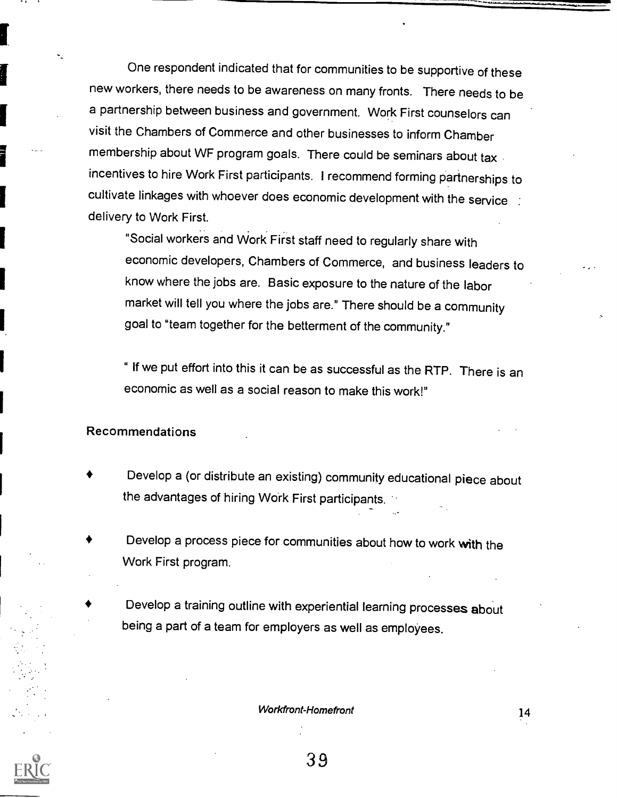One respondent indicated that for communities to be supportive of these new workers, there needs to be awareness on many fronts. There needs to be a partnership between business and government. Work First counselors can visit the Chambers of Commerce and other businesses to inform Chamber membership about WF program goals. There could be seminars about tax incentives to hire Work First participants. I recommend forming partnerships to cultivate linkages with whoever does economic development with the service : delivery to Work First.

"Social workers and Work First staff need to regularly share with economic developers, Chambers of Commerce, and business leaders to know where the jobs are. Basic exposure to the nature of the labor market will tell you where the jobs are." There should be a community goal to "team together for the betterment of the community."

" If we put effort into this it can be as successful as the RTP. There is an economic as well as a social reason to make this work!"

## Recommendations

- Develop a (or distribute an existing) community educational piece about the advantages of hiring Work First participants.
- Develop a process piece for communities about how to work with the Work First program.
- Develop a training outline with experiential learning processes about being a part of a team for employers as well as employees.

Workfront-Homefront 2008 14

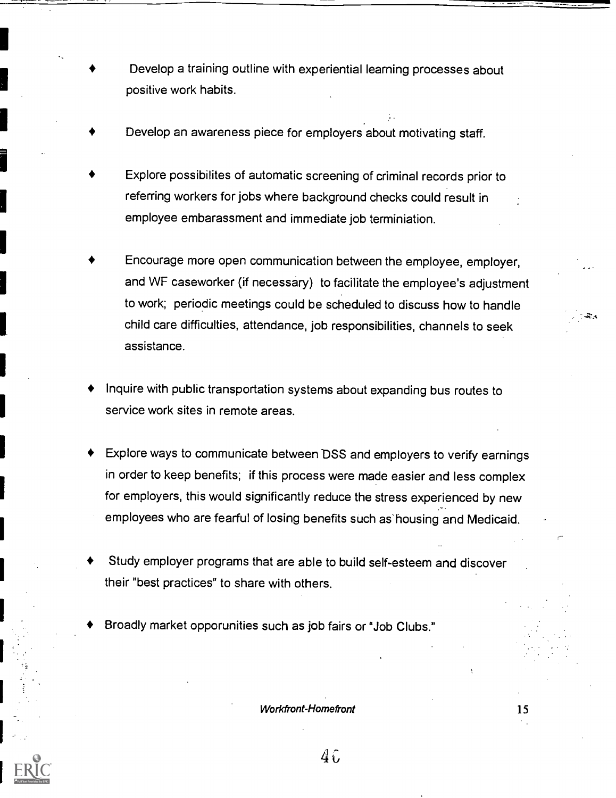- Develop a training outline with experiential learning processes about positive work habits.
- Develop an awareness piece for employers about motivating staff.
- Explore possibilites of automatic screening of criminal records prior to referring workers for jobs where background checks could result in employee embarassment and immediate job terminiation.
- Encourage more open communication between the employee, employer, and WF caseworker (if necessary) to facilitate the employee's adjustment to work; periodic meetings could be scheduled to discuss how to handle child care difficulties, attendance, job responsibilities, channels to seek assistance.
- Inquire with public transportation systems about expanding bus routes to service work sites in remote areas.
- Explore ways to communicate between DSS and employers to verify earnings in order to keep benefits; if this process were made easier and less complex for employers, this would significantly reduce the stress experienced by new employees who are fearful of losing benefits such as housing and Medicaid.
- Study employer programs that are able to build self-esteem and discover their "best practices" to share with others.
- Broadly market opporunities such as job fairs or "Job Clubs."

Workfront-Homefront 15

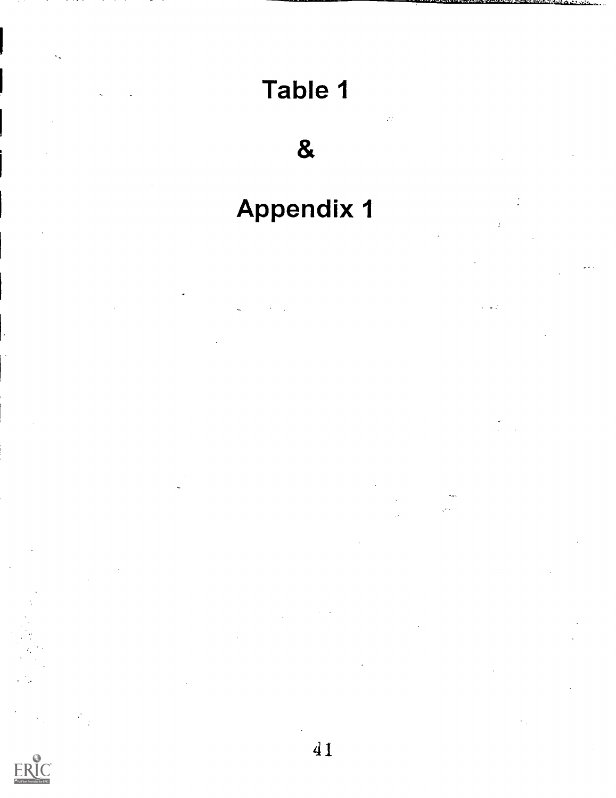# Table 1

 $\mathcal{L}^{\mathcal{A}}_{\mathcal{A}}$ 

&

# Appendix 1

 $\ddot{\phantom{0}}$ 



 $\mathcal{L}$  $\frac{1}{2}$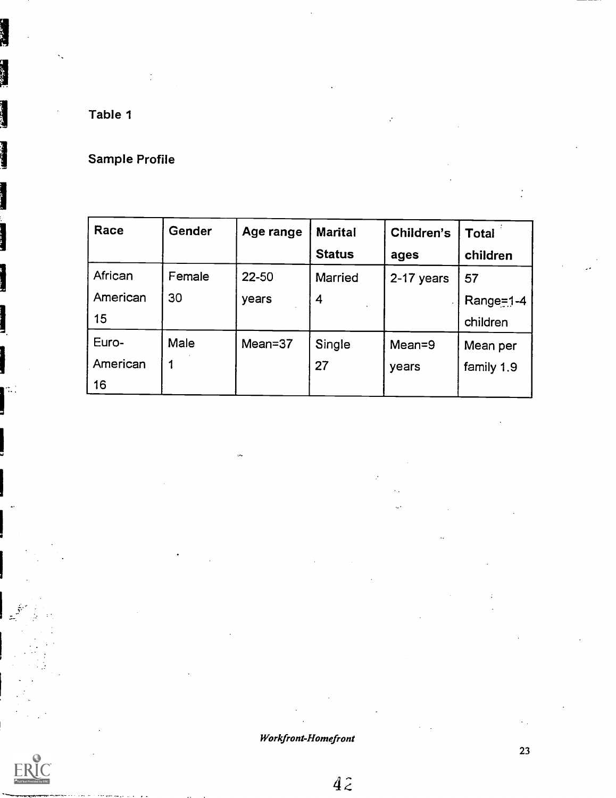Table 1

**I** and the second second

 $\mathbb{Z}^+$ 

# Sample Profile

| Race     | <b>Gender</b> | Age range | <b>Marital</b> | Children's | <b>Total</b> |
|----------|---------------|-----------|----------------|------------|--------------|
|          |               |           | <b>Status</b>  | ages       | children     |
| African  | Female        | 22-50     | <b>Married</b> | 2-17 years | 57           |
| American | 30            | years     | 4              |            | $Range=1-4$  |
| 15       |               |           |                |            | children     |
| Euro-    | <b>Male</b>   | Mean=37   | Single         | $Mean = 9$ | Mean per     |
| American |               |           | 27             | years      | family 1.9   |
| 16       |               |           |                |            |              |

Workfront-Homefront

 $4\hat{z}$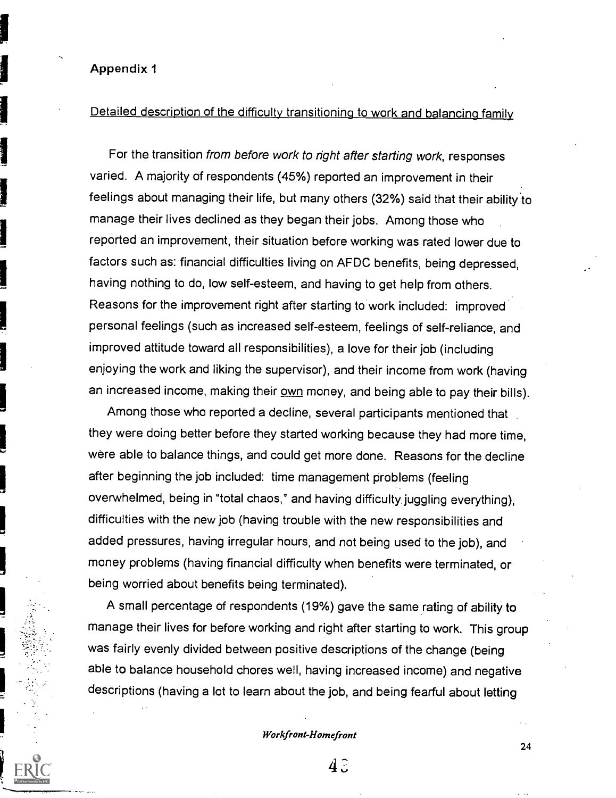## Appendix 1

## Detailed description of the difficulty transitioning to work and balancing family

For the transition from before work to right after starting work, responses varied. A majority of respondents (45%) reported an improvement in their feelings about managing their life, but many others (32%) said that their ability to manage their lives declined as they began their jobs. Among those who reported an improvement, their situation before working was rated lower due to factors such as: financial difficulties living on AFDC benefits, being depressed, having nothing to do, low self-esteem, and having to get help from others. Reasons for the improvement right after starting to work included: improved personal feelings (such as increased self-esteem, feelings of self-reliance, and improved attitude toward all responsibilities), a love for their job (including enjoying the work and liking the supervisor), and their income from work (having an increased income, making their own money, and being able to pay their bills).

Among those who reported a decline, several participants mentioned that they were doing better before they started working because they had more time, were able to balance things, and could get more done. Reasons for the decline after beginning the job included: time management problems (feeling overwhelmed, being in "total chaos," and having difficulty juggling everything), difficulties with the new job (having trouble with the new responsibilities and added pressures, having irregular hours, and not being used to the job), and money problems (having financial difficulty when benefits were terminated, or being worried about benefits being terminated).

A small percentage of respondents (19%) gave the same rating of ability to manage their lives for before working and right after starting to work. This group was fairly evenly divided between positive descriptions of the change (being able to balance household chores well, having increased income) and negative descriptions (having a lot to learn about the job, and being fearful about letting

Workfront-Homefront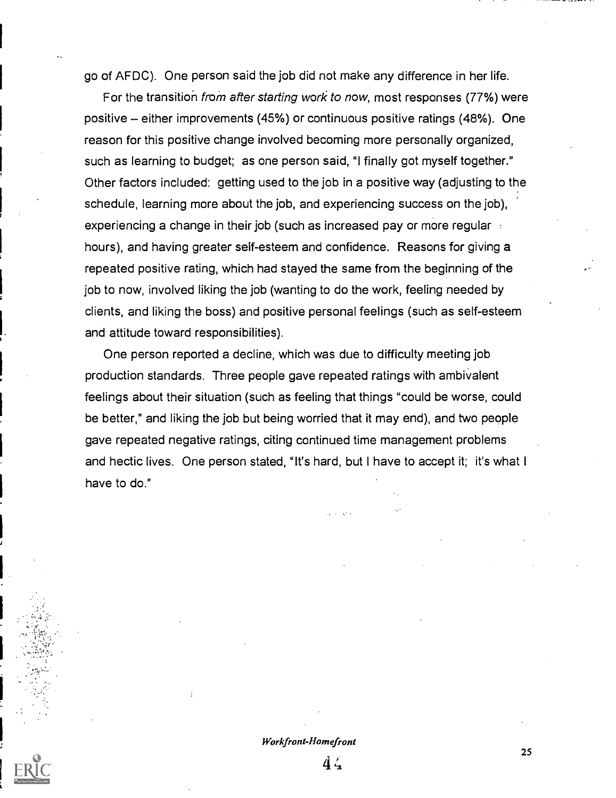go of AFDC). One person said the job did not make any difference in her life.

For the transition from after starting work to now, most responses (77%) were positive – either improvements (45%) or continuous positive ratings (48%). One reason for this positive change involved becoming more personally organized, such as learning to budget; as one person said, "I finally got myself together." Other factors included: getting used to the job in a positive way (adjusting to the schedule, learning more about the job, and experiencing success on the job), experiencing a change in their job (such as increased pay or more regular hours), and having greater self-esteem and confidence. Reasons for giving a repeated positive rating, which had stayed the same from the beginning of the job to now, involved liking the job (wanting to do the work, feeling needed by clients, and liking the boss) and positive personal feelings (such as self-esteem and attitude toward responsibilities).

One person reported a decline, which was due to difficulty meeting job production standards. Three people gave repeated ratings with ambivalent feelings about their situation (such as feeling that things "could be worse, could be better," and liking the job but being worried that it may end), and two people gave repeated negative ratings, citing continued time management problems and hectic lives. One person stated, "It's hard, but I have to accept it; it's what I have to do."

## Workfront-Homefront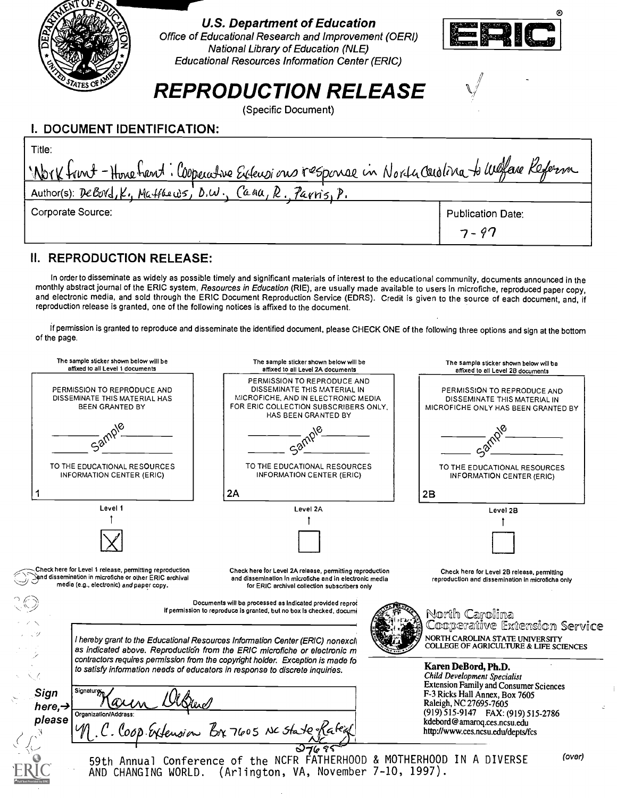

## I. DOCUMENT IDENTIFICATION:

| Title:                                                                                       |                          |
|----------------------------------------------------------------------------------------------|--------------------------|
| Nork front - Hone hant: Cooperative Extensions response in North Carolina to Weffare Referma |                          |
| Author(s): DeBord, K., Matthews, D.W., Cana, R., Parris, P.                                  |                          |
| Corporate Source:                                                                            | <b>Publication Date:</b> |
|                                                                                              | $7 - 97$                 |

## II. REPRODUCTION RELEASE:

In order to disseminate as widely as possible timely and significant materials of interest to the educational community, documents announced in the monthly abstract journal of the ERIC system, Resources in Education (RIE), are usually made available to users in microfiche, reproduced paper copy, and electronic media, and sold through the ERIC Document Reproduction Service (EDRS). Credit is given to the source of each document, and, if reproduction release is granted, one of the following notices is affixed to the document.

If permission is granted to reproduce and disseminate the identified document, please CHECK ONE of the following three options and sign at the bottom of the page.

| The sample sticker shown below will be<br>affixed to all Level 1 documents                                                                                                                                                                     | The sample sticker shown below will be<br>affixed to all Level 2A documents                                                                                                                                                                                                                              | The sampla sticker shown below will ba<br>affixed to all Level 2B documents                                        |
|------------------------------------------------------------------------------------------------------------------------------------------------------------------------------------------------------------------------------------------------|----------------------------------------------------------------------------------------------------------------------------------------------------------------------------------------------------------------------------------------------------------------------------------------------------------|--------------------------------------------------------------------------------------------------------------------|
| PERMISSION TO REPRODUCE AND<br>DISSEMINATE THIS MATERIAL HAS<br>BEEN GRANTED BY                                                                                                                                                                | PERMISSION TO REPRODUCE AND<br>DISSEMINATE THIS MATERIAL IN<br>MICROFICHE, AND IN ELECTRONIC MEDIA<br>FOR ERIC COLLECTION SUBSCRIBERS ONLY.<br><b>HAS BEEN GRANTED BY</b>                                                                                                                                | PERMISSION TO REPRODUCE AND<br>DISSEMINATE THIS MATERIAL IN<br>MICROFICHE ONLY HAS BEEN GRANTED BY                 |
|                                                                                                                                                                                                                                                |                                                                                                                                                                                                                                                                                                          |                                                                                                                    |
| TO THE EDUCATIONAL RESOURCES<br><b>INFORMATION CENTER (ERIC)</b>                                                                                                                                                                               | TO THE EDUCATIONAL RESOURCES<br><b>INFORMATION CENTER (ERIC)</b>                                                                                                                                                                                                                                         | TO THE EDUCATIONAL RESOURCES<br>INFORMATION CENTER (ERIC)                                                          |
|                                                                                                                                                                                                                                                | 2A                                                                                                                                                                                                                                                                                                       | 2B                                                                                                                 |
| Level 1                                                                                                                                                                                                                                        | Level 2A                                                                                                                                                                                                                                                                                                 | Level 2B                                                                                                           |
|                                                                                                                                                                                                                                                |                                                                                                                                                                                                                                                                                                          |                                                                                                                    |
| Check here for Level 1 release, permitting reproduction<br>and dissemination in microfiche or other ERIC archival(<br>media (e.g., electronic) and paper copy.                                                                                 | Check here for Level 2A relaase, permitting reproduction<br>and dissemination in microfiche and in electronic media<br>for ERIC archival collection subscribers only<br>Documents will ba processed as indicated provided reprod<br>if permission to reproduce is granted, but no box is checked, documi | Check hera for Level 2B releasa, permitting<br>reproduction and dissemination in microficha only<br>North Carolina |
| I hereby grant to the Educational Resources Information Center (ERIC) nonexcli<br>as indicated above. Reproduction from the ERIC microfiche or electronic m<br>contractors requires permission from the copyright holder. Exception is made fo |                                                                                                                                                                                                                                                                                                          | Cooperative Extension Service<br>NORTH CAROLINA STATE UNIVERSITY<br>COLLEGE OF AGRICULTURE & LIFE SCIENCES         |
|                                                                                                                                                                                                                                                | to satisfy information needs of educators in response to discrete inquiries.                                                                                                                                                                                                                             | Karen DeBord, Ph.D.<br>Child Development Specialist<br><b>Extension Family and Consumer Sciences</b>               |
| Signature<br>Sign<br>here, $\rightarrow$<br>Organization/Addrass:                                                                                                                                                                              |                                                                                                                                                                                                                                                                                                          | F-3 Ricks Hall Annex, Box 7605<br>Raleigh, NC 27695-7605<br>(919) 515-9147 FAX: (919) 515-2786                     |
| please                                                                                                                                                                                                                                         | C. Coop Extension Bx 7605 NC state Rated                                                                                                                                                                                                                                                                 | kdebord@amaroq.ces.ncsu.edu<br>http://www.ces.ncsu.edu/depts/fcs                                                   |
|                                                                                                                                                                                                                                                | 59th Annual Conference of the NCFR FATHERHOOD & MOTHERHOOD IN A DIVERSE<br>AND CHANGING WORLD. (Arlington, VA, November 7-10, 1997).                                                                                                                                                                     | (over)                                                                                                             |